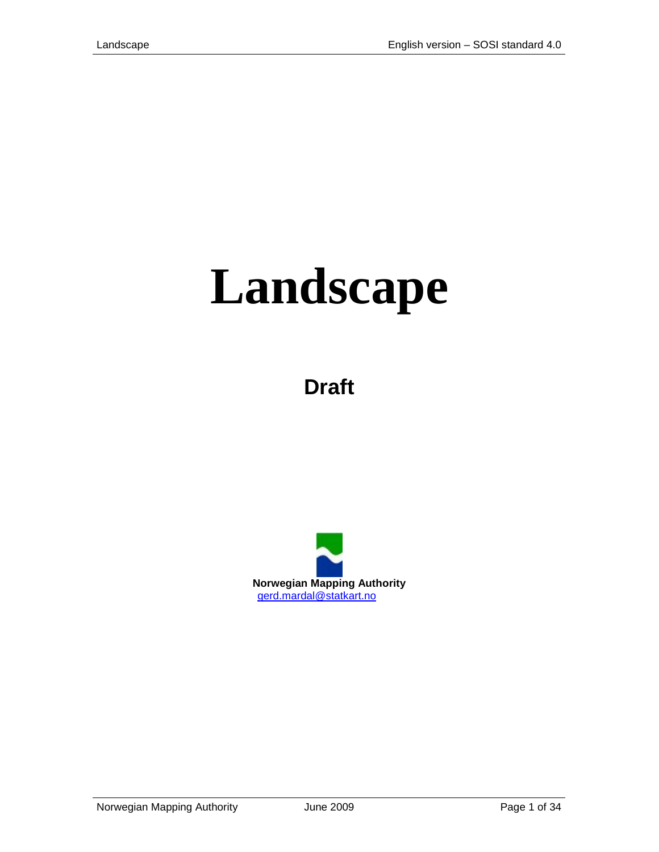# **Landscape**

**Draft**

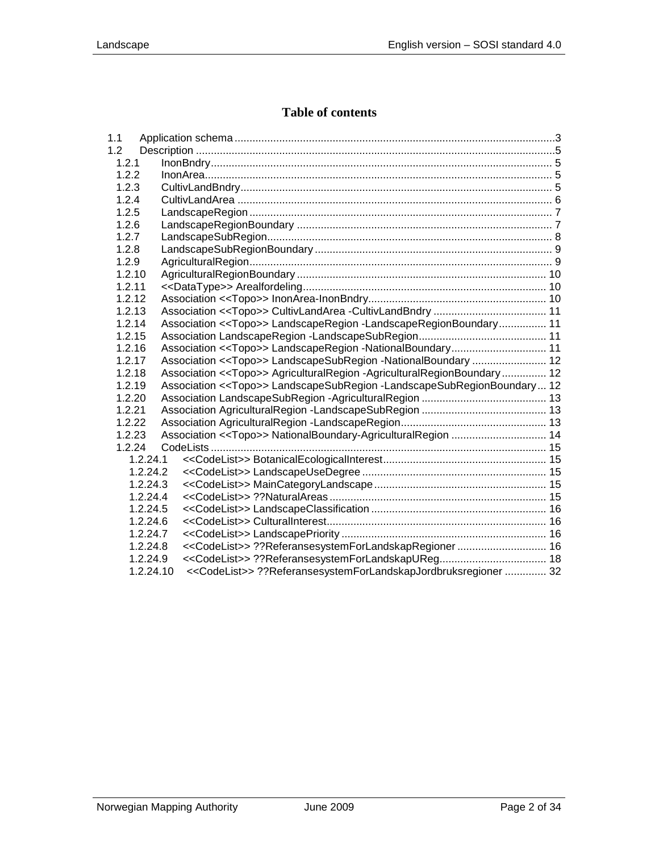#### **Table of contents**

| 1.1              |           |                                                                                   |  |
|------------------|-----------|-----------------------------------------------------------------------------------|--|
| 1.2 <sub>2</sub> |           |                                                                                   |  |
| 1.2.1            |           |                                                                                   |  |
| 1.2.2            |           |                                                                                   |  |
| 1.2.3            |           |                                                                                   |  |
| 1.2.4            |           |                                                                                   |  |
| 1.2.5            |           |                                                                                   |  |
| 1.2.6            |           |                                                                                   |  |
| 1.2.7            |           |                                                                                   |  |
| 1.2.8            |           |                                                                                   |  |
| 1.2.9            |           |                                                                                   |  |
| 1.2.10           |           |                                                                                   |  |
| 1.2.11           |           |                                                                                   |  |
| 1.2.12           |           |                                                                                   |  |
| 1.2.13           |           |                                                                                   |  |
| 1.2.14           |           | Association << Topo>> LandscapeRegion -LandscapeRegionBoundary 11                 |  |
| 1.2.15           |           |                                                                                   |  |
| 1.2.16           |           | Association < <topo>&gt; LandscapeRegion -NationalBoundary 11</topo>              |  |
| 1.2.17           |           | Association < <topo>&gt; LandscapeSubRegion -NationalBoundary  12</topo>          |  |
| 1.2.18           |           | Association < <topo>&gt; AgriculturalRegion -AgriculturalRegionBoundary 12</topo> |  |
| 1.2.19           |           | Association < <topo>&gt; LandscapeSubRegion -LandscapeSubRegionBoundary 12</topo> |  |
| 1.2.20           |           |                                                                                   |  |
| 1.2.21           |           |                                                                                   |  |
| 1.2.22           |           |                                                                                   |  |
| 1.2.23           |           |                                                                                   |  |
| 1.2.24           |           |                                                                                   |  |
|                  | 1.2.24.1  |                                                                                   |  |
|                  | 1.2.24.2  |                                                                                   |  |
|                  | 1.2.24.3  |                                                                                   |  |
|                  | 1.2.24.4  |                                                                                   |  |
|                  | 1.2.24.5  |                                                                                   |  |
|                  | 1.2.24.6  |                                                                                   |  |
|                  | 1.2.24.7  |                                                                                   |  |
|                  | 1.2.24.8  | < <codelist>&gt; ??ReferansesystemForLandskapRegioner  16</codelist>              |  |
|                  | 1.2.24.9  |                                                                                   |  |
|                  | 1.2.24.10 | < <codelist>&gt; ??ReferansesystemForLandskapJordbruksregioner  32</codelist>     |  |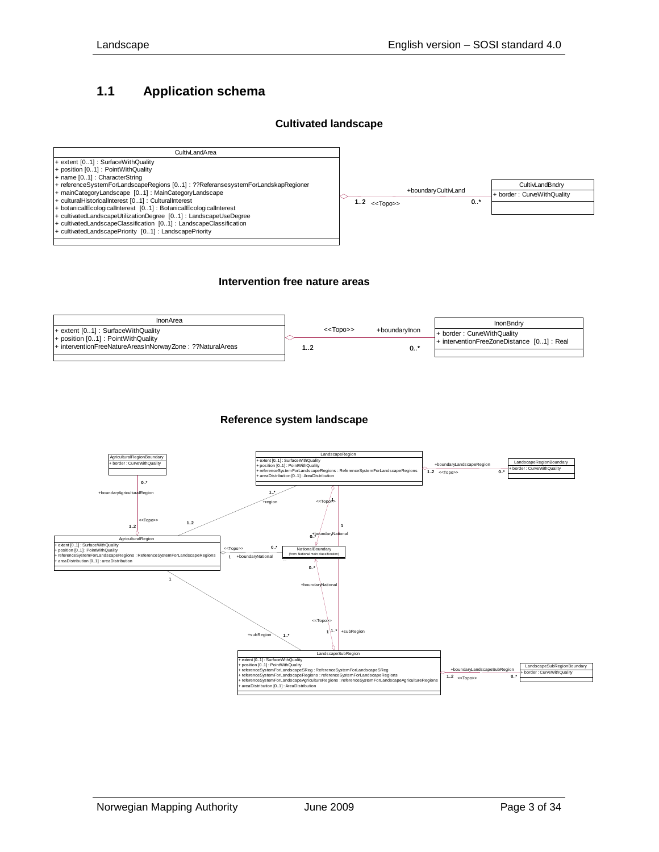### <span id="page-2-0"></span>**1.1 Application schema**

#### **Cultivated landscape**



#### **Intervention free nature areas**



#### **Reference system landscape**

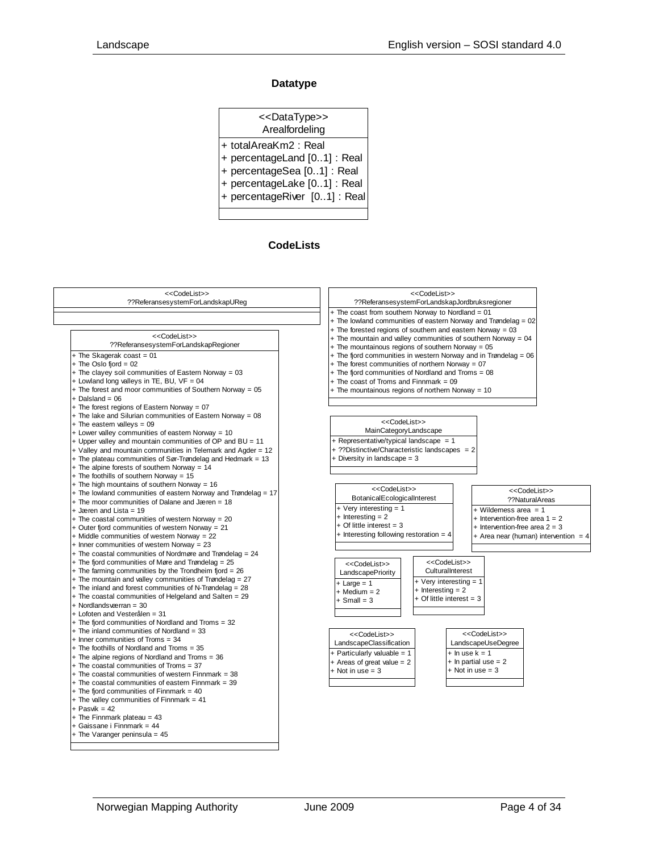#### **Datatype**

| < <datatype>&gt;<br/>Arealfordeling</datatype> |
|------------------------------------------------|
| + totalAreaKm2: Real                           |
| + percentageLand [01] : Real                   |
| + percentageSea [01] : Real                    |
| + percentageLake [01] : Real                   |
| + percentageRiver [01] : Real                  |
|                                                |

#### **CodeLists**

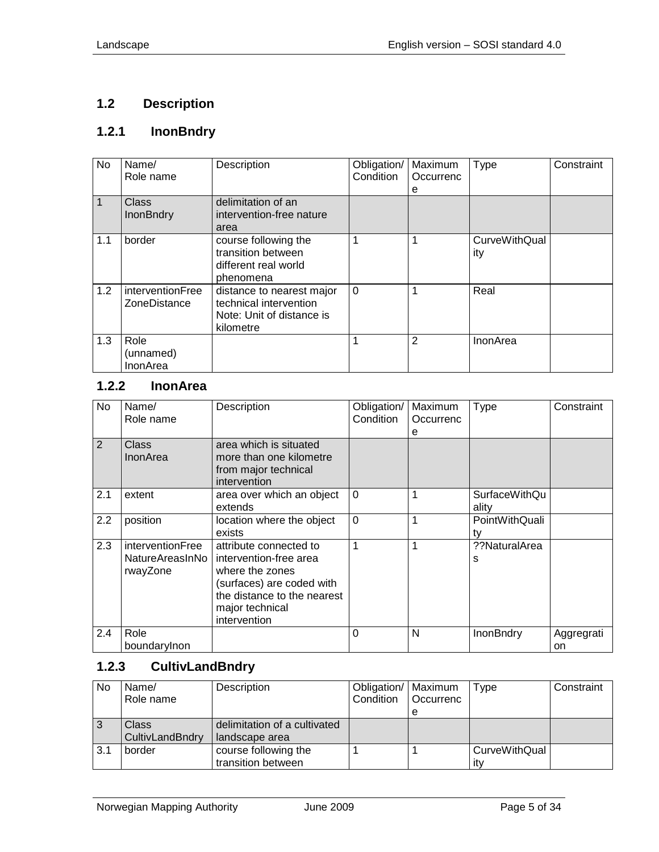# <span id="page-4-0"></span>**1.2 Description**

# <span id="page-4-1"></span>**1.2.1 InonBndry**

| No  | Name/<br>Role name               | Description                                                                                   | Obligation/<br>Condition | Maximum<br>Occurrenc<br>е | <b>Type</b>                 | Constraint |
|-----|----------------------------------|-----------------------------------------------------------------------------------------------|--------------------------|---------------------------|-----------------------------|------------|
| 1   | Class<br><b>InonBndry</b>        | delimitation of an<br>intervention-free nature<br>area                                        |                          |                           |                             |            |
| 1.1 | border                           | course following the<br>transition between<br>different real world<br>phenomena               |                          |                           | <b>CurveWithQual</b><br>ity |            |
| 1.2 | interventionFree<br>ZoneDistance | distance to nearest major<br>technical intervention<br>Note: Unit of distance is<br>kilometre | $\Omega$                 |                           | Real                        |            |
| 1.3 | Role<br>(unnamed)<br>InonArea    |                                                                                               |                          | 2                         | InonArea                    |            |

# <span id="page-4-2"></span>**1.2.2 InonArea**

| No               | Name/<br>Role name                              | Description                                                                                                                                                        | Obligation/<br>Condition | Maximum<br>Occurrenc<br>e | <b>Type</b>                   | Constraint       |
|------------------|-------------------------------------------------|--------------------------------------------------------------------------------------------------------------------------------------------------------------------|--------------------------|---------------------------|-------------------------------|------------------|
| 2                | Class<br><b>InonArea</b>                        | area which is situated<br>more than one kilometre<br>from major technical<br>intervention                                                                          |                          |                           |                               |                  |
| 2.1              | extent                                          | area over which an object<br>extends                                                                                                                               | $\Omega$                 | 1                         | <b>SurfaceWithQu</b><br>ality |                  |
| $2.2\phantom{0}$ | position                                        | location where the object<br>exists                                                                                                                                | $\mathbf 0$              | 1                         | PointWithQuali<br>ty          |                  |
| 2.3              | interventionFree<br>NatureAreasInNo<br>rwayZone | attribute connected to<br>intervention-free area<br>where the zones<br>(surfaces) are coded with<br>the distance to the nearest<br>major technical<br>intervention | 1                        | 1                         | ??NaturalArea<br>s            |                  |
| 2.4              | Role<br>boundarylnon                            |                                                                                                                                                                    | $\Omega$                 | N                         | InonBndry                     | Aggregrati<br>on |

# <span id="page-4-3"></span>**1.2.3 CultivLandBndry**

| No  | Name/           | Description                  | Obligation/   Maximum |                  | Type                 | Constraint |
|-----|-----------------|------------------------------|-----------------------|------------------|----------------------|------------|
|     | Role name       |                              | Condition             | <b>Occurrenc</b> |                      |            |
|     |                 |                              |                       | е                |                      |            |
| 3   | Class           | delimitation of a cultivated |                       |                  |                      |            |
|     | CultivLandBndry | landscape area               |                       |                  |                      |            |
| 3.1 | border          | course following the         |                       |                  | <b>CurveWithQual</b> |            |
|     |                 | transition between           |                       |                  | itv                  |            |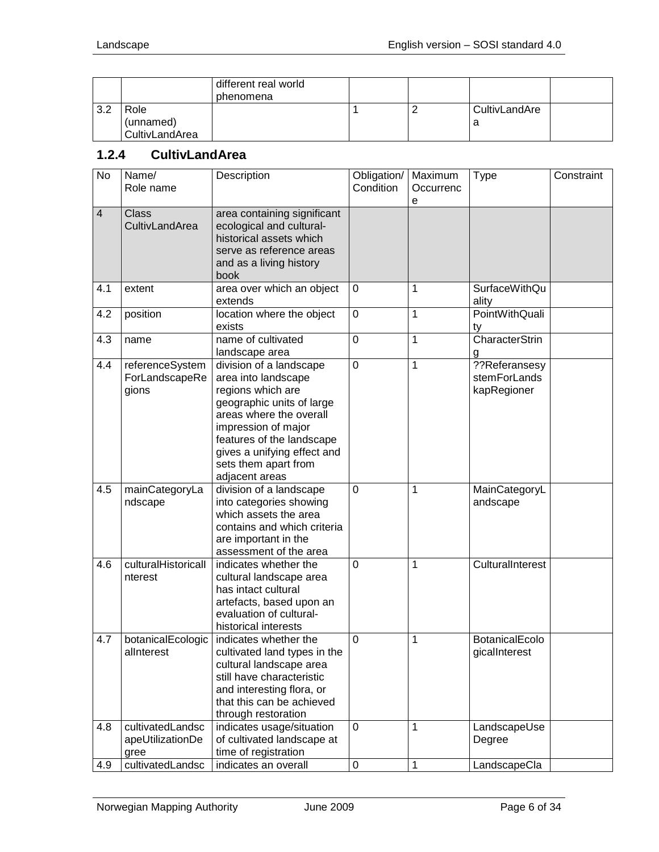|     |                | different real world<br>phenomena |  |               |  |
|-----|----------------|-----------------------------------|--|---------------|--|
| 3.2 | Role           |                                   |  | CultivLandAre |  |
|     | (unnamed)      |                                   |  | a             |  |
|     | CultivLandArea |                                   |  |               |  |

## <span id="page-5-0"></span>**1.2.4 CultivLandArea**

| $\overline{N}$ | Name/<br>Role name                           | Description                                                                                                                                                                                                                                              | Obligation/<br>Condition | Maximum<br>Occurrenc<br>e | <b>Type</b>                                  | Constraint |
|----------------|----------------------------------------------|----------------------------------------------------------------------------------------------------------------------------------------------------------------------------------------------------------------------------------------------------------|--------------------------|---------------------------|----------------------------------------------|------------|
| $\overline{4}$ | <b>Class</b><br>CultivLandArea               | area containing significant<br>ecological and cultural-<br>historical assets which<br>serve as reference areas<br>and as a living history<br>book                                                                                                        |                          |                           |                                              |            |
| 4.1            | extent                                       | area over which an object<br>extends                                                                                                                                                                                                                     | $\mathbf 0$              | 1                         | <b>SurfaceWithQu</b><br>ality                |            |
| 4.2            | position                                     | location where the object<br>exists                                                                                                                                                                                                                      | $\mathbf 0$              | 1                         | <b>PointWithQuali</b><br>ty                  |            |
| 4.3            | name                                         | name of cultivated<br>landscape area                                                                                                                                                                                                                     | 0                        | 1                         | CharacterStrin<br>g                          |            |
| 4.4            | referenceSystem<br>ForLandscapeRe<br>gions   | division of a landscape<br>area into landscape<br>regions which are<br>geographic units of large<br>areas where the overall<br>impression of major<br>features of the landscape<br>gives a unifying effect and<br>sets them apart from<br>adjacent areas | $\mathbf 0$              | 1                         | ??Referansesy<br>stemForLands<br>kapRegioner |            |
| 4.5            | mainCategoryLa<br>ndscape                    | division of a landscape<br>into categories showing<br>which assets the area<br>contains and which criteria<br>are important in the<br>assessment of the area                                                                                             | 0                        | 1                         | MainCategoryL<br>andscape                    |            |
| 4.6            | culturalHistoricall<br>nterest               | indicates whether the<br>cultural landscape area<br>has intact cultural<br>artefacts, based upon an<br>evaluation of cultural-<br>historical interests                                                                                                   | 0                        | 1                         | CulturalInterest                             |            |
| 4.7            | botanicalEcologic<br>alInterest              | indicates whether the<br>cultivated land types in the<br>cultural landscape area<br>still have characteristic<br>and interesting flora, or<br>that this can be achieved<br>through restoration                                                           | 0                        | 1                         | BotanicalEcolo<br>gicalInterest              |            |
| 4.8            | cultivatedLandsc<br>apeUtilizationDe<br>gree | indicates usage/situation<br>of cultivated landscape at<br>time of registration                                                                                                                                                                          | $\mathbf 0$              | 1                         | LandscapeUse<br>Degree                       |            |
| 4.9            | cultivatedLandsc                             | indicates an overall                                                                                                                                                                                                                                     | $\pmb{0}$                | $\mathbf{1}$              | LandscapeCla                                 |            |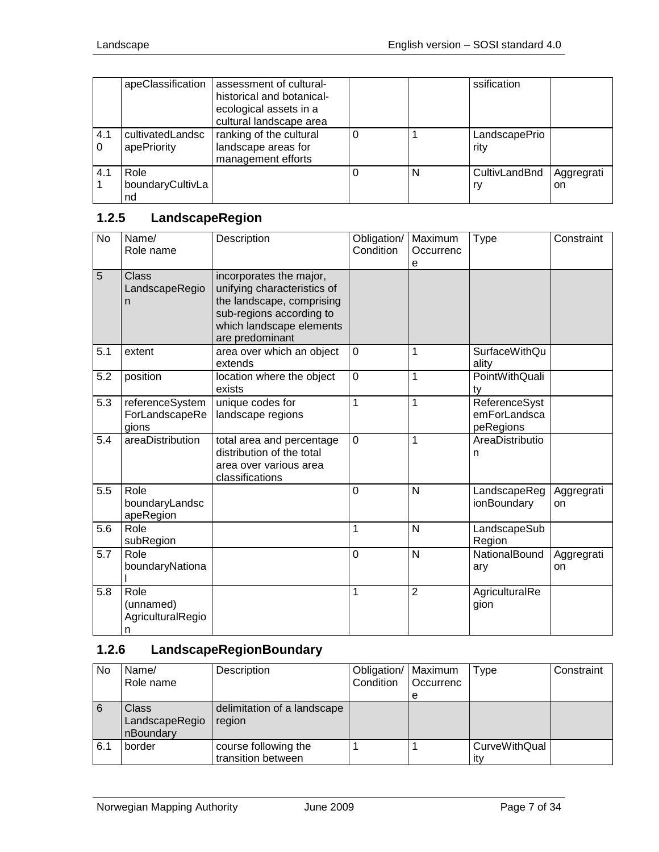|          | apeClassification               | assessment of cultural-<br>historical and botanical-<br>ecological assets in a<br>cultural landscape area |   | ssification           |                             |
|----------|---------------------------------|-----------------------------------------------------------------------------------------------------------|---|-----------------------|-----------------------------|
| 4.1<br>0 | cultivatedLandsc<br>apePriority | ranking of the cultural<br>landscape areas for<br>management efforts                                      |   | LandscapePrio<br>rity |                             |
| 4.1      | Role<br>boundaryCultivLa<br>nd  |                                                                                                           | N | CultivLandBnd<br>ry   | Aggregrati<br><sub>on</sub> |

# <span id="page-6-0"></span>**1.2.5 LandscapeRegion**

| <b>No</b> | Name/<br>Role name                          | Description                                                                                                                                                    | Obligation/<br>Condition | Maximum<br>Occurrenc<br>е | <b>Type</b>                                | Constraint       |
|-----------|---------------------------------------------|----------------------------------------------------------------------------------------------------------------------------------------------------------------|--------------------------|---------------------------|--------------------------------------------|------------------|
| 5         | <b>Class</b><br>LandscapeRegio<br>n         | incorporates the major,<br>unifying characteristics of<br>the landscape, comprising<br>sub-regions according to<br>which landscape elements<br>are predominant |                          |                           |                                            |                  |
| 5.1       | extent                                      | area over which an object<br>extends                                                                                                                           | $\mathbf 0$              | 1                         | <b>SurfaceWithQu</b><br>ality              |                  |
| 5.2       | position                                    | location where the object<br>exists                                                                                                                            | $\overline{0}$           | 1                         | <b>PointWithQuali</b><br>tv                |                  |
| 5.3       | referenceSystem<br>ForLandscapeRe<br>gions  | unique codes for<br>landscape regions                                                                                                                          | $\mathbf{1}$             | 1                         | ReferenceSyst<br>emForLandsca<br>peRegions |                  |
| 5.4       | areaDistribution                            | total area and percentage<br>distribution of the total<br>area over various area<br>classifications                                                            | 0                        | 1                         | AreaDistributio<br>n                       |                  |
| 5.5       | Role<br>boundaryLandsc<br>apeRegion         |                                                                                                                                                                | $\overline{0}$           | $\mathsf{N}$              | LandscapeReg<br>ionBoundary                | Aggregrati<br>on |
| 5.6       | Role<br>subRegion                           |                                                                                                                                                                | 1                        | $\mathsf{N}$              | LandscapeSub<br>Region                     |                  |
| 5.7       | Role<br>boundaryNationa                     |                                                                                                                                                                | $\overline{0}$           | $\mathsf{N}$              | NationalBound<br>ary                       | Aggregrati<br>on |
| 5.8       | Role<br>(unnamed)<br>AgriculturalRegio<br>n |                                                                                                                                                                | 1                        | $\overline{2}$            | AgriculturalRe<br>gion                     |                  |

# <span id="page-6-1"></span>**1.2.6 LandscapeRegionBoundary**

| No  | Name/<br>Role name                   | Description                                | Obligation/   Maximum<br>Condition | <b>Occurrenc</b> | Type                 | Constraint |
|-----|--------------------------------------|--------------------------------------------|------------------------------------|------------------|----------------------|------------|
|     |                                      |                                            |                                    | е                |                      |            |
| 6   | Class<br>LandscapeRegio<br>nBoundary | delimitation of a landscape<br>region      |                                    |                  |                      |            |
| 6.1 | border                               | course following the<br>transition between |                                    |                  | CurveWithQual<br>itv |            |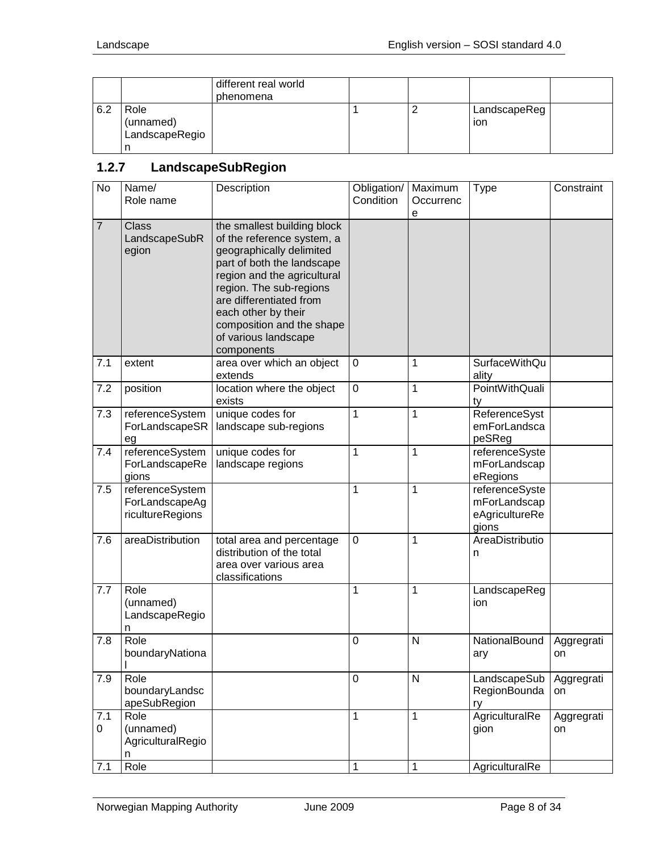|     |                                     | different real world<br>phenomena |  |                     |  |
|-----|-------------------------------------|-----------------------------------|--|---------------------|--|
| 6.2 | Role<br>(unnamed)<br>LandscapeRegio |                                   |  | LandscapeReg<br>ion |  |

# <span id="page-7-0"></span>**1.2.7 LandscapeSubRegion**

| No             | Name/<br>Role name                                    | Description                                                                                                                                                                                                                                                                                        | Obligation/<br>Condition | Maximum<br>Occurrenc<br>е | Type                                                      | Constraint       |
|----------------|-------------------------------------------------------|----------------------------------------------------------------------------------------------------------------------------------------------------------------------------------------------------------------------------------------------------------------------------------------------------|--------------------------|---------------------------|-----------------------------------------------------------|------------------|
| $\overline{7}$ | <b>Class</b><br>LandscapeSubR<br>egion                | the smallest building block<br>of the reference system, a<br>geographically delimited<br>part of both the landscape<br>region and the agricultural<br>region. The sub-regions<br>are differentiated from<br>each other by their<br>composition and the shape<br>of various landscape<br>components |                          |                           |                                                           |                  |
| 7.1            | extent                                                | area over which an object<br>extends                                                                                                                                                                                                                                                               | $\mathbf 0$              | 1                         | <b>SurfaceWithQu</b><br>ality                             |                  |
| 7.2            | position                                              | location where the object<br>exists                                                                                                                                                                                                                                                                | $\mathbf 0$              | 1                         | PointWithQuali<br>ty                                      |                  |
| 7.3            | referenceSystem<br>ForLandscapeSR<br>eg               | unique codes for<br>landscape sub-regions                                                                                                                                                                                                                                                          | 1                        | 1                         | ReferenceSyst<br>emForLandsca<br>peSReg                   |                  |
| 7.4            | referenceSystem<br>ForLandscapeRe<br>gions            | unique codes for<br>landscape regions                                                                                                                                                                                                                                                              | 1                        | 1                         | referenceSyste<br>mForLandscap<br>eRegions                |                  |
| 7.5            | referenceSystem<br>ForLandscapeAg<br>ricultureRegions |                                                                                                                                                                                                                                                                                                    | 1                        | 1                         | referenceSyste<br>mForLandscap<br>eAgricultureRe<br>gions |                  |
| 7.6            | areaDistribution                                      | total area and percentage<br>distribution of the total<br>area over various area<br>classifications                                                                                                                                                                                                | 0                        | 1                         | AreaDistributio<br>n                                      |                  |
| 7.7            | Role<br>(unnamed)<br>LandscapeRegio<br>n              |                                                                                                                                                                                                                                                                                                    | 1                        | 1                         | LandscapeReg<br>ion                                       |                  |
| 7.8            | Role<br>boundaryNationa                               |                                                                                                                                                                                                                                                                                                    | 0                        | N                         | NationalBound<br>ary                                      | Aggregrati<br>on |
| 7.9            | Role<br>boundaryLandsc<br>apeSubRegion                |                                                                                                                                                                                                                                                                                                    | 0                        | $\mathsf{N}$              | LandscapeSub<br>RegionBounda<br>ry                        | Aggregrati<br>on |
| 7.1<br>0       | Role<br>(unnamed)<br>AgriculturalRegio<br>n           |                                                                                                                                                                                                                                                                                                    | 1                        | 1                         | AgriculturalRe<br>gion                                    | Aggregrati<br>on |
| 7.1            | Role                                                  |                                                                                                                                                                                                                                                                                                    | 1                        | 1                         | AgriculturalRe                                            |                  |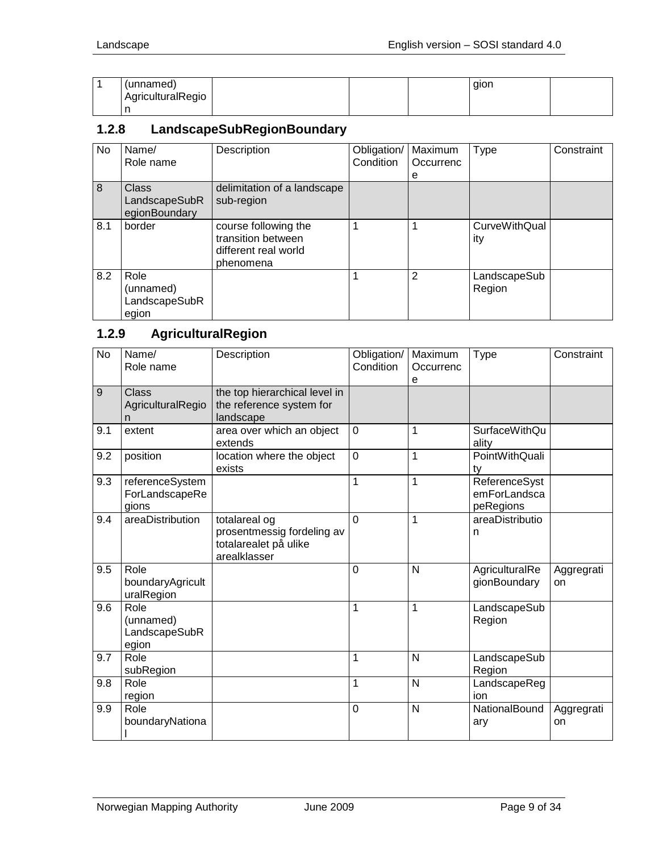| (unnamed)         |  | qion |  |
|-------------------|--|------|--|
| AgriculturalRegio |  |      |  |
|                   |  |      |  |

## <span id="page-8-0"></span>**1.2.8 LandscapeSubRegionBoundary**

| <b>No</b> | Name/<br>Role name                          | Description                                                                     | Obligation/<br>Condition | Maximum<br>Occurrenc<br>е | <b>Type</b>                 | Constraint |
|-----------|---------------------------------------------|---------------------------------------------------------------------------------|--------------------------|---------------------------|-----------------------------|------------|
| 8         | Class<br>LandscapeSubR<br>egionBoundary     | delimitation of a landscape<br>sub-region                                       |                          |                           |                             |            |
| 8.1       | border                                      | course following the<br>transition between<br>different real world<br>phenomena |                          |                           | <b>CurveWithQual</b><br>ity |            |
| 8.2       | Role<br>(unnamed)<br>LandscapeSubR<br>egion |                                                                                 |                          | 2                         | LandscapeSub<br>Region      |            |

# <span id="page-8-1"></span>**1.2.9 AgriculturalRegion**

| <b>No</b> | Name/<br>Role name                          | Description                                                                          | Obligation/<br>Condition | Maximum<br>Occurrenc<br>е | <b>Type</b>                                | Constraint       |
|-----------|---------------------------------------------|--------------------------------------------------------------------------------------|--------------------------|---------------------------|--------------------------------------------|------------------|
| 9         | <b>Class</b><br>AgriculturalRegio<br>n      | the top hierarchical level in<br>the reference system for<br>landscape               |                          |                           |                                            |                  |
| 9.1       | extent                                      | area over which an object<br>extends                                                 | $\overline{0}$           | 1                         | <b>SurfaceWithQu</b><br>ality              |                  |
| 9.2       | position                                    | location where the object<br>exists                                                  | $\mathbf 0$              | $\mathbf 1$               | <b>PointWithQuali</b><br>tv                |                  |
| 9.3       | referenceSystem<br>ForLandscapeRe<br>gions  |                                                                                      | $\mathbf{1}$             | $\mathbf{1}$              | ReferenceSyst<br>emForLandsca<br>peRegions |                  |
| 9.4       | areaDistribution                            | totalareal og<br>prosentmessig fordeling av<br>totalarealet på ulike<br>arealklasser | $\Omega$                 | 1                         | areaDistributio<br>n                       |                  |
| 9.5       | Role<br>boundaryAgricult<br>uralRegion      |                                                                                      | $\mathbf 0$              | N                         | AgriculturalRe<br>gionBoundary             | Aggregrati<br>on |
| 9.6       | Role<br>(unnamed)<br>LandscapeSubR<br>egion |                                                                                      | 1                        | 1                         | LandscapeSub<br>Region                     |                  |
| 9.7       | Role<br>subRegion                           |                                                                                      | 1                        | $\mathsf{N}$              | LandscapeSub<br>Region                     |                  |
| 9.8       | Role<br>region                              |                                                                                      | 1                        | N                         | LandscapeReg<br>ion                        |                  |
| 9.9       | Role<br>boundaryNationa                     |                                                                                      | $\overline{0}$           | $\mathsf{N}$              | NationalBound<br>ary                       | Aggregrati<br>on |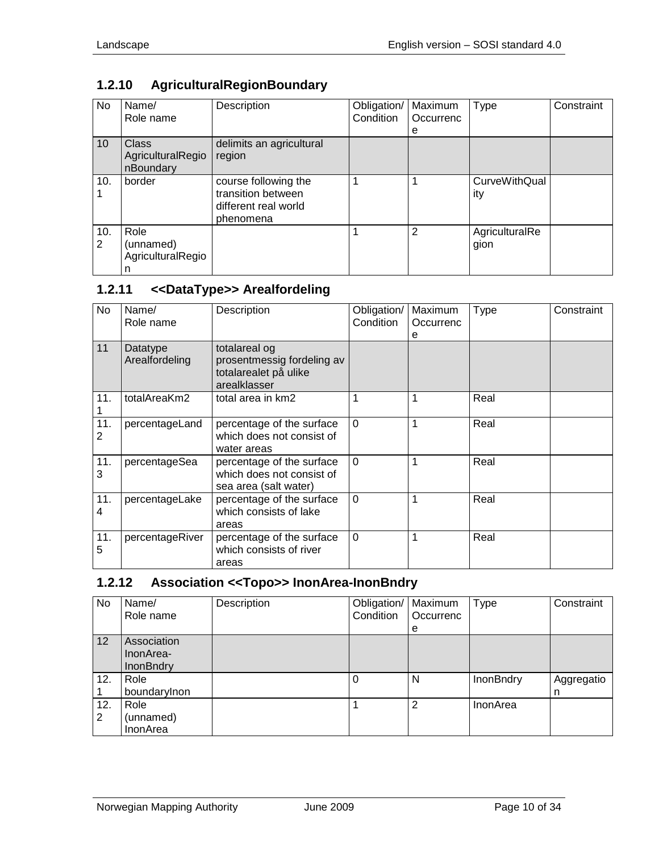# <span id="page-9-0"></span>**1.2.10 AgriculturalRegionBoundary**

| No              | Name/<br>Role name                             | Description                                                                     | Obligation/<br>Condition | Maximum<br>Occurrenc<br>е | <b>Type</b>            | Constraint |
|-----------------|------------------------------------------------|---------------------------------------------------------------------------------|--------------------------|---------------------------|------------------------|------------|
| 10 <sup>1</sup> | <b>Class</b><br>AgriculturalRegio<br>nBoundary | delimits an agricultural<br>region                                              |                          |                           |                        |            |
| 10.             | border                                         | course following the<br>transition between<br>different real world<br>phenomena |                          |                           | CurveWithQual<br>ity   |            |
| 10.<br>2        | Role<br>(unnamed)<br>AgriculturalRegio<br>n    |                                                                                 |                          | 2                         | AgriculturalRe<br>gion |            |

# <span id="page-9-1"></span>**1.2.11 <<DataType>> Arealfordeling**

| No       | Name/<br>Role name         | Description                                                                          | Obligation/<br>Condition | Maximum<br>Occurrenc<br>е | <b>Type</b> | Constraint |
|----------|----------------------------|--------------------------------------------------------------------------------------|--------------------------|---------------------------|-------------|------------|
| 11       | Datatype<br>Arealfordeling | totalareal og<br>prosentmessig fordeling av<br>totalarealet på ulike<br>arealklasser |                          |                           |             |            |
| 11.      | totalAreaKm2               | total area in km2                                                                    |                          |                           | Real        |            |
| 11.<br>2 | percentageLand             | percentage of the surface<br>which does not consist of<br>water areas                | $\Omega$                 |                           | Real        |            |
| 11.<br>3 | percentageSea              | percentage of the surface<br>which does not consist of<br>sea area (salt water)      | $\Omega$                 |                           | Real        |            |
| 11.<br>4 | percentageLake             | percentage of the surface<br>which consists of lake<br>areas                         | $\Omega$                 |                           | Real        |            |
| 11.<br>5 | percentageRiver            | percentage of the surface<br>which consists of river<br>areas                        | $\mathbf{0}$             |                           | Real        |            |

# <span id="page-9-2"></span>**1.2.12 Association <<Topo>> InonArea-InonBndry**

| No       | Name/<br>Role name                           | Description | Obligation/<br>Condition | Maximum<br>Occurrenc<br>е | <b>Type</b>      | Constraint      |
|----------|----------------------------------------------|-------------|--------------------------|---------------------------|------------------|-----------------|
| 12       | Association<br>InonArea-<br><b>InonBndry</b> |             |                          |                           |                  |                 |
| 12.      | Role<br>boundarylnon                         |             | 0                        | N                         | <b>InonBndry</b> | Aggregatio<br>n |
| 12.<br>2 | Role<br>(unnamed)<br>InonArea                |             |                          | 2                         | InonArea         |                 |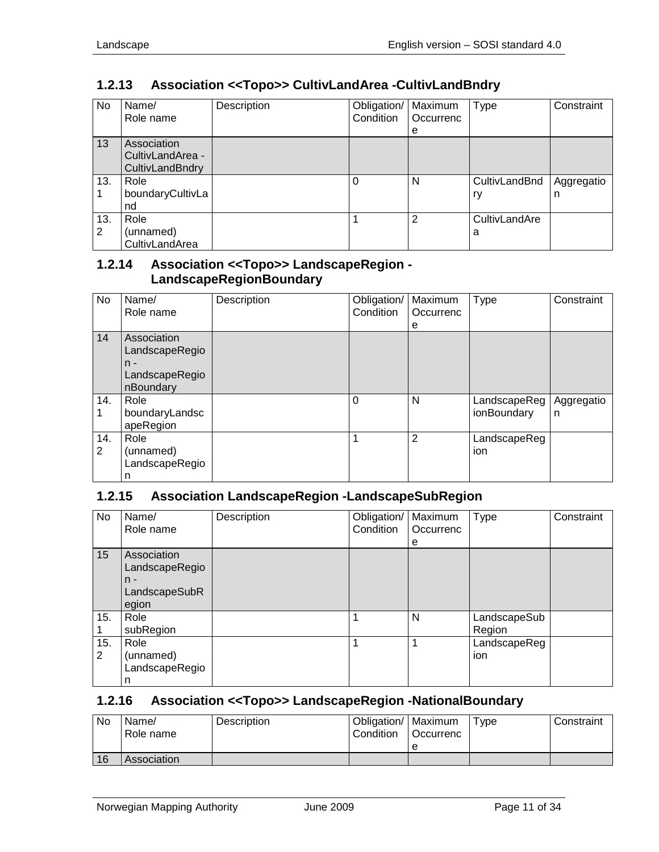# <span id="page-10-0"></span>**1.2.13 Association <<Topo>> CultivLandArea -CultivLandBndry**

| No       | Name/<br>Role name                                 | Description | Obligation/<br>Condition | Maximum<br>Occurrenc<br>е | Type                | Constraint      |
|----------|----------------------------------------------------|-------------|--------------------------|---------------------------|---------------------|-----------------|
| 13       | Association<br>CultivLandArea -<br>CultivLandBndry |             |                          |                           |                     |                 |
| 13.      | Role<br>boundaryCultivLa<br>nd                     |             | 0                        | N                         | CultivLandBnd<br>ry | Aggregatio<br>n |
| 13.<br>2 | Role<br>(unnamed)<br>CultivLandArea                |             |                          | 2                         | CultivLandAre<br>a  |                 |

## <span id="page-10-1"></span>**1.2.14 Association <<Topo>> LandscapeRegion - LandscapeRegionBoundary**

| No       | Name/<br>Role name                                                    | Description | Obligation/<br>Condition | Maximum<br>Occurrenc<br>е | <b>Type</b>                 | Constraint      |
|----------|-----------------------------------------------------------------------|-------------|--------------------------|---------------------------|-----------------------------|-----------------|
| 14       | Association<br>LandscapeRegio<br>$n -$<br>LandscapeRegio<br>nBoundary |             |                          |                           |                             |                 |
| 14.      | Role<br>boundaryLandsc<br>apeRegion                                   |             | 0                        | N                         | LandscapeReg<br>ionBoundary | Aggregatio<br>n |
| 14.<br>2 | Role<br>(unnamed)<br>LandscapeRegio<br>n                              |             |                          | 2                         | LandscapeReg<br>ion         |                 |

## <span id="page-10-2"></span>**1.2.15 Association LandscapeRegion -LandscapeSubRegion**

| No       | Name/<br>Role name                                               | Description | Obligation/<br>Condition | Maximum<br>Occurrenc<br>е | Type                   | Constraint |
|----------|------------------------------------------------------------------|-------------|--------------------------|---------------------------|------------------------|------------|
| 15       | Association<br>LandscapeRegio<br>$n -$<br>LandscapeSubR<br>egion |             |                          |                           |                        |            |
| 15.      | Role<br>subRegion                                                |             | 1                        | N                         | LandscapeSub<br>Region |            |
| 15.<br>2 | Role<br>(unnamed)<br>LandscapeRegio<br>n                         |             | 1                        |                           | LandscapeReg<br>ion    |            |

#### <span id="page-10-3"></span>**1.2.16 Association <<Topo>> LandscapeRegion -NationalBoundary**

| No | Name/<br>Role name | <b>Description</b> | Obligation/   Maximum<br>Condition | <b>Occurrenc</b> | Type | Constraint |
|----|--------------------|--------------------|------------------------------------|------------------|------|------------|
|    |                    |                    |                                    |                  |      |            |
| 16 | Association        |                    |                                    |                  |      |            |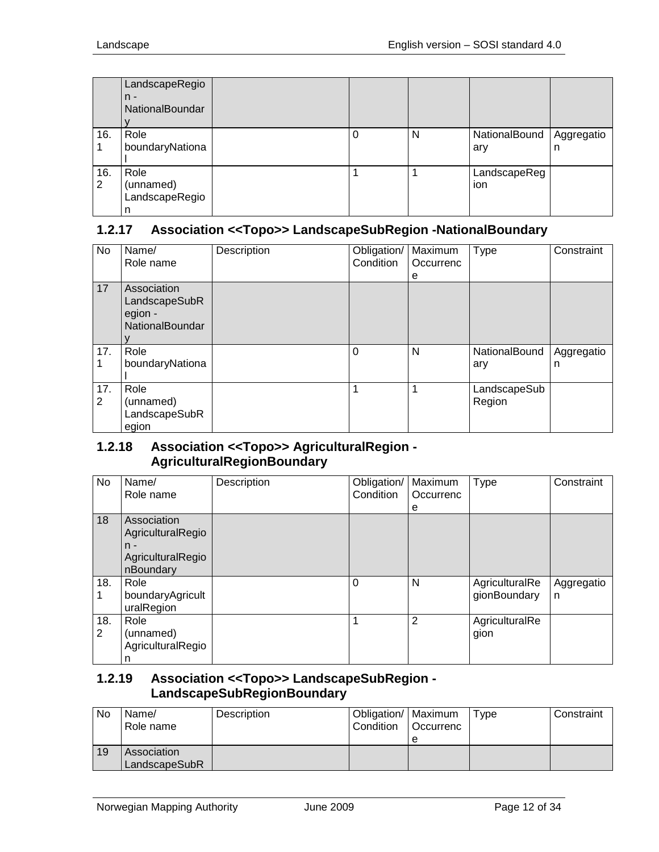|          | LandscapeRegio<br>$n -$<br>NationalBoundar |   |   |                      |                 |
|----------|--------------------------------------------|---|---|----------------------|-----------------|
| 16.      | Role<br>boundaryNationa                    | 0 | N | NationalBound<br>ary | Aggregatio<br>n |
| 16.<br>2 | Role<br>(unnamed)<br>LandscapeRegio<br>n   |   |   | LandscapeReg<br>ion  |                 |

#### <span id="page-11-0"></span>**1.2.17 Association <<Topo>> LandscapeSubRegion -NationalBoundary**

| No       | Name/<br>Role name                                                | Description | Obligation/<br>Condition | Maximum<br>Occurrenc<br>е | <b>Type</b>            | Constraint      |
|----------|-------------------------------------------------------------------|-------------|--------------------------|---------------------------|------------------------|-----------------|
| 17       | Association<br>LandscapeSubR<br>egion -<br><b>NationalBoundar</b> |             |                          |                           |                        |                 |
| 17.      | Role<br>boundaryNationa                                           |             | 0                        | N                         | NationalBound<br>ary   | Aggregatio<br>n |
| 17.<br>2 | Role<br>(unnamed)<br>LandscapeSubR<br>egion                       |             |                          |                           | LandscapeSub<br>Region |                 |

#### <span id="page-11-1"></span>**1.2.18 Association <<Topo>> AgriculturalRegion - AgriculturalRegionBoundary**

| No       | Name/<br>Role name                                                          | Description | Obligation/<br>Condition | Maximum<br>Occurrenc<br>е | Type                           | Constraint      |
|----------|-----------------------------------------------------------------------------|-------------|--------------------------|---------------------------|--------------------------------|-----------------|
| 18       | Association<br>AgriculturalRegio<br>$n -$<br>AgriculturalRegio<br>nBoundary |             |                          |                           |                                |                 |
| 18.      | Role<br>boundaryAgricult<br>uralRegion                                      |             | $\Omega$                 | N                         | AgriculturalRe<br>gionBoundary | Aggregatio<br>n |
| 18.<br>2 | Role<br>(unnamed)<br>AgriculturalRegio<br>n                                 |             | 1                        | $\overline{2}$            | AgriculturalRe<br>gion         |                 |

#### <span id="page-11-2"></span>**1.2.19 Association <<Topo>> LandscapeSubRegion - LandscapeSubRegionBoundary**

| No | Name/<br>Role name           | Description | Obligation/   Maximum<br>Condition | <b>Occurrenc</b><br>e | Tvpe | Constraint |
|----|------------------------------|-------------|------------------------------------|-----------------------|------|------------|
| 19 | Association<br>LandscapeSubR |             |                                    |                       |      |            |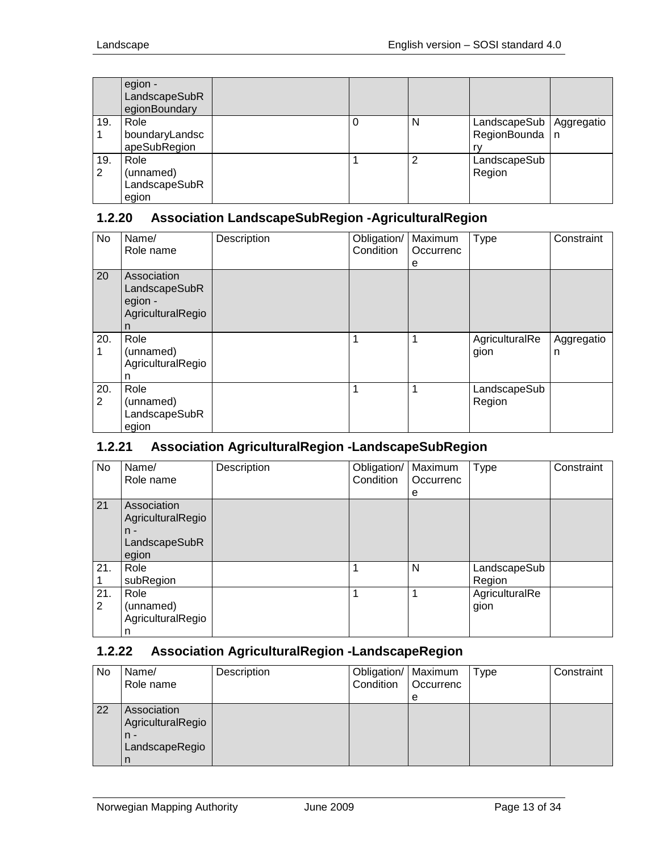|          | egion -<br>LandscapeSubR<br>egionBoundary   |  |   |                                        |            |
|----------|---------------------------------------------|--|---|----------------------------------------|------------|
| 19.      | Role<br>boundaryLandsc<br>apeSubRegion      |  | N | LandscapeSub<br>RegionBounda   n<br>rv | Aggregatio |
| 19.<br>2 | Role<br>(unnamed)<br>LandscapeSubR<br>egion |  | 2 | LandscapeSub<br>Region                 |            |

## <span id="page-12-0"></span>**1.2.20 Association LandscapeSubRegion -AgriculturalRegion**

| No       | Name/<br>Role name                                                | Description | Obligation/<br>Condition | Maximum<br>Occurrenc<br>е | Type                   | Constraint      |
|----------|-------------------------------------------------------------------|-------------|--------------------------|---------------------------|------------------------|-----------------|
| 20       | Association<br>LandscapeSubR<br>egion -<br>AgriculturalRegio<br>n |             |                          |                           |                        |                 |
| 20.<br>1 | Role<br>(unnamed)<br>AgriculturalRegio<br>n                       |             | 1                        | 1                         | AgriculturalRe<br>gion | Aggregatio<br>n |
| 20.<br>2 | Role<br>(unnamed)<br>LandscapeSubR<br>egion                       |             | 1                        | 1                         | LandscapeSub<br>Region |                 |

## <span id="page-12-1"></span>**1.2.21 Association AgriculturalRegion -LandscapeSubRegion**

| No       | Name/<br>Role name                                                  | Description | Obligation/<br>Condition | Maximum<br>Occurrenc<br>е | <b>Type</b>            | Constraint |
|----------|---------------------------------------------------------------------|-------------|--------------------------|---------------------------|------------------------|------------|
| 21       | Association<br>AgriculturalRegio<br>$n -$<br>LandscapeSubR<br>egion |             |                          |                           |                        |            |
| 21.      | Role<br>subRegion                                                   |             |                          | N                         | LandscapeSub<br>Region |            |
| 21.<br>2 | Role<br>(unnamed)<br>AgriculturalRegio<br>n                         |             |                          |                           | AgriculturalRe<br>gion |            |

#### <span id="page-12-2"></span>**1.2.22 Association AgriculturalRegion -LandscapeRegion**

| No | Name/<br>Role name                                          | Description | Obligation/   Maximum<br>Condition | Occurrenc<br>е | Type | Constraint |
|----|-------------------------------------------------------------|-------------|------------------------------------|----------------|------|------------|
| 22 | Association<br>AgriculturalRegio<br>$n -$<br>LandscapeRegio |             |                                    |                |      |            |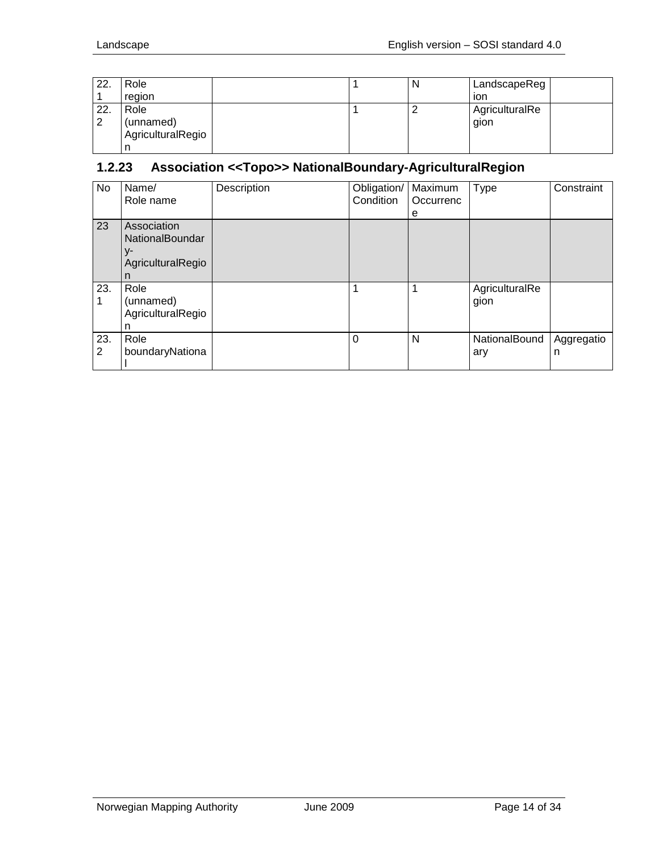| 22. | Role              |  | N        | LandscapeReg   |
|-----|-------------------|--|----------|----------------|
|     | region            |  |          | ion            |
| 22. | Role              |  | <u>_</u> | AgriculturalRe |
| 2   | (unnamed)         |  |          | gion           |
|     | AgriculturalRegio |  |          |                |
|     |                   |  |          |                |

## <span id="page-13-0"></span>**1.2.23 Association <<Topo>> NationalBoundary-AgriculturalRegion**

| <b>No</b> | Name/<br>Role name                                                    | Description | Obligation/<br>Condition | Maximum<br>Occurrenc<br>е | Type                   | Constraint      |
|-----------|-----------------------------------------------------------------------|-------------|--------------------------|---------------------------|------------------------|-----------------|
| 23        | Association<br><b>NationalBoundar</b><br>y-<br>AgriculturalRegio<br>n |             |                          |                           |                        |                 |
| 23.       | Role<br>(unnamed)<br>AgriculturalRegio<br>n                           |             | 1                        | 1                         | AgriculturalRe<br>gion |                 |
| 23.<br>2  | Role<br>boundaryNationa                                               |             | $\Omega$                 | N                         | NationalBound<br>ary   | Aggregatio<br>n |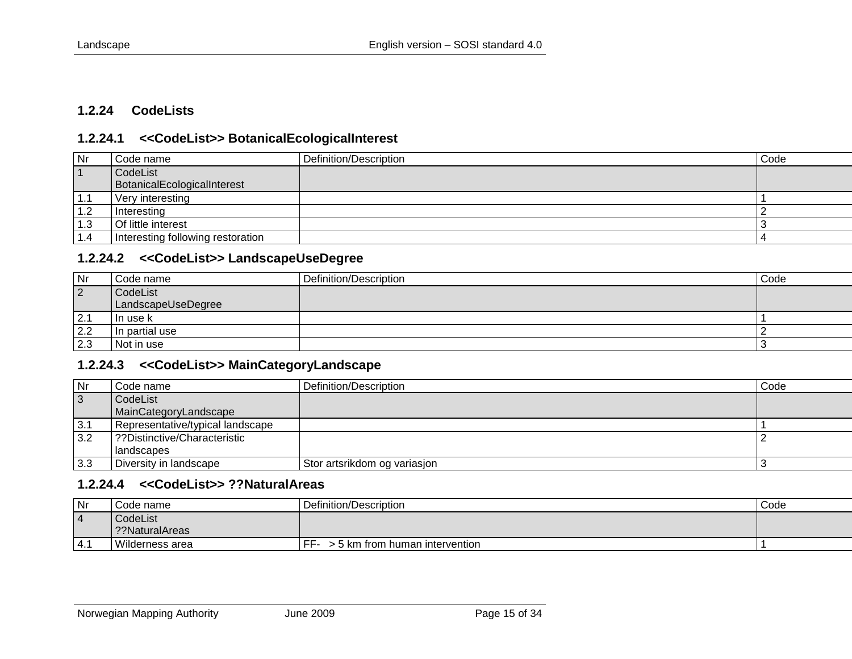#### **1.2.24 CodeLists**

#### **1.2.24.1 <<CodeList>> BotanicalEcologicalInterest**

| Nr  | Code name                         | Definition/Description | Code |
|-----|-----------------------------------|------------------------|------|
|     | CodeList                          |                        |      |
|     | BotanicalEcologicalInterest       |                        |      |
| 1.1 | Very interesting                  |                        |      |
| 1.2 | Interesting                       |                        |      |
| 1.3 | Of little interest                |                        |      |
| 1.4 | Interesting following restoration |                        |      |

#### **1.2.24.2 <<CodeList>> LandscapeUseDegree**

<span id="page-14-0"></span>

| Nr             | Code name          | Definition/Description | Code |
|----------------|--------------------|------------------------|------|
| $\overline{2}$ | CodeList           |                        |      |
|                | LandscapeUseDegree |                        |      |
| 2.1            | In use k           |                        |      |
| 2.2            | In partial use     |                        |      |
| 2.3            | Not in use         |                        |      |

#### <span id="page-14-1"></span>**1.2.24.3 <<CodeList>> MainCategoryLandscape**

| Nr             | Code name                        | Definition/Description       | Code |
|----------------|----------------------------------|------------------------------|------|
| $\overline{3}$ | CodeList                         |                              |      |
|                | MainCategoryLandscape            |                              |      |
| 3.1            | Representative/typical landscape |                              |      |
| 3.2            | ??Distinctive/Characteristic     |                              |      |
|                | l landscapes                     |                              |      |
| 3.3            | Diversity in landscape           | Stor artsrikdom og variasjon |      |

#### <span id="page-14-2"></span>**1.2.24.4 <<CodeList>> ??NaturalAreas**

<span id="page-14-4"></span><span id="page-14-3"></span>

| Nr         | ode name.       | Definition/Description               | Code |
|------------|-----------------|--------------------------------------|------|
| <u>  4</u> | CodeList        |                                      |      |
|            | ??NaturalAreas  |                                      |      |
| $-4.$      | Wilderness area | FF<br>- 5 km from human intervention |      |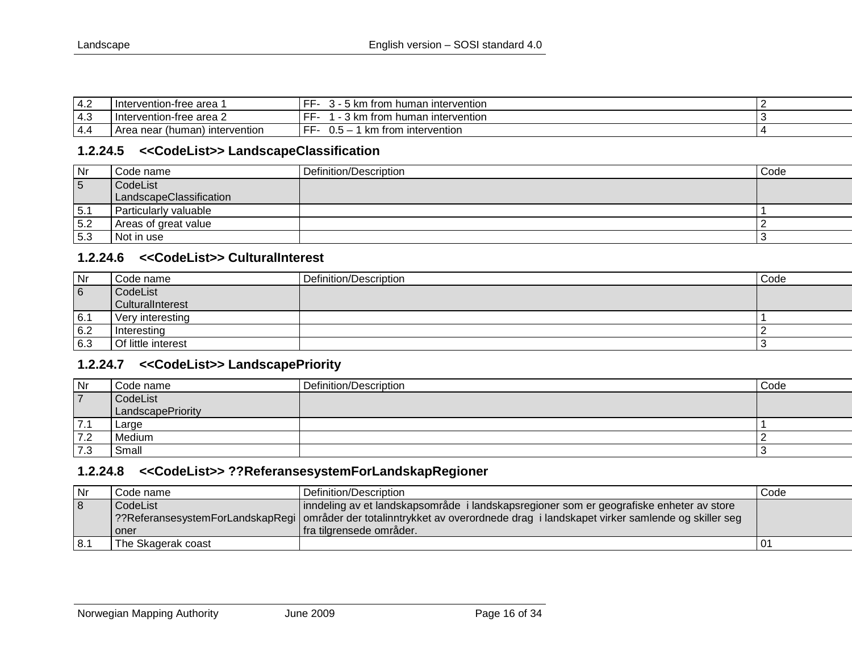| רי ו<br>ے.4               | rvention-free area<br>-Inter          | intervention<br>human<br>$\sim$<br>trom<br><b>NI</b> | . . |
|---------------------------|---------------------------------------|------------------------------------------------------|-----|
| $\Lambda$ $\Omega$<br>4.ა | Intervention-free area 2              | <b>Intervention</b><br>trom<br>human<br>، kn         |     |
| 4.4                       | , intervention<br>(human<br>Area near | intervention<br>trom<br>km<br>υ.ο                    |     |

#### **1.2.24.5 <<CodeList>> LandscapeClassification**

| Nr              | Code name               | Definition/Description | Code |
|-----------------|-------------------------|------------------------|------|
| $5\overline{)}$ | CodeList                |                        |      |
|                 | LandscapeClassification |                        |      |
| 5.1             | Particularly valuable   |                        |      |
| 5.2             | Areas of great value    |                        |      |
| 5.3             | Not in use              |                        |      |

#### **1.2.24.6 <<CodeList>> CulturalInterest**

| $\mathsf{N}$ r | Code name          | Definition/Description | Code |
|----------------|--------------------|------------------------|------|
| 6              | CodeList           |                        |      |
|                | CulturalInterest   |                        |      |
| 6.1            | Very interesting   |                        |      |
| 6.2            | Interesting        |                        |      |
| 6.3            | Of little interest |                        |      |

#### <span id="page-15-0"></span>**1.2.24.7 <<CodeList>> LandscapePriority**

| Nr             | Code name         | Definition/Description | Code |
|----------------|-------------------|------------------------|------|
| $\overline{7}$ | CodeList          |                        |      |
|                | LandscapePriority |                        |      |
| 7.1            | Large             |                        |      |
| 7.2            | Medium            |                        |      |
| 7.3            | Small             |                        |      |

## <span id="page-15-1"></span>**1.2.24.8 <<CodeList>> ??ReferansesystemForLandskapRegioner**

<span id="page-15-3"></span><span id="page-15-2"></span>

| l Nr | Code name          | Definition/Description                                                                                                          | Code |
|------|--------------------|---------------------------------------------------------------------------------------------------------------------------------|------|
| 8    | CodeList           | inndeling av et landskapsområde i landskapsregioner som er geografiske enheter av store                                         |      |
|      |                    | [??ReferansesystemForLandskapRegi   områder der totalinntrykket av overordnede drag i landskapet virker samlende og skiller seg |      |
|      | i oner             | fra tilgrensede områder.                                                                                                        |      |
| 8.1  | The Skagerak coast |                                                                                                                                 |      |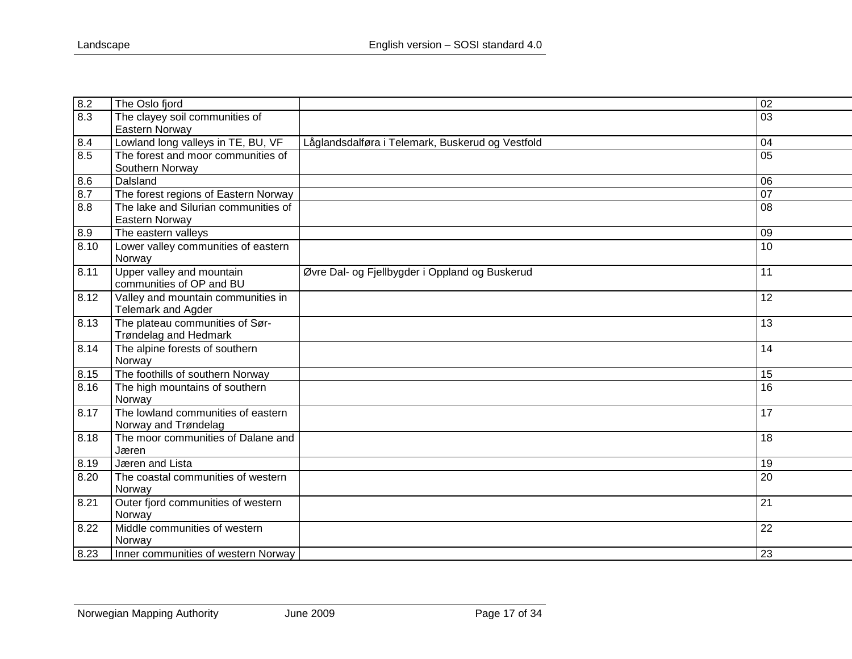| 8.2  | The Oslo fjord                       |                                                  | $\overline{02}$ |
|------|--------------------------------------|--------------------------------------------------|-----------------|
| 8.3  | The clayey soil communities of       |                                                  | 03              |
|      | Eastern Norway                       |                                                  |                 |
| 8.4  | Lowland long valleys in TE, BU, VF   | Låglandsdalføra i Telemark, Buskerud og Vestfold | 04              |
| 8.5  | The forest and moor communities of   |                                                  | $\overline{05}$ |
|      | Southern Norway                      |                                                  |                 |
| 8.6  | Dalsland                             |                                                  | 06              |
| 8.7  | The forest regions of Eastern Norway |                                                  | $\overline{07}$ |
| 8.8  | The lake and Silurian communities of |                                                  | 08              |
|      | Eastern Norway                       |                                                  |                 |
| 8.9  | The eastern valleys                  |                                                  | 09              |
| 8.10 | Lower valley communities of eastern  |                                                  | 10              |
|      | Norway                               |                                                  |                 |
| 8.11 | Upper valley and mountain            | Øvre Dal- og Fjellbygder i Oppland og Buskerud   | 11              |
|      | communities of OP and BU             |                                                  |                 |
| 8.12 | Valley and mountain communities in   |                                                  | 12              |
|      | Telemark and Agder                   |                                                  |                 |
| 8.13 | The plateau communities of Sør-      |                                                  | 13              |
|      | <b>Trøndelag and Hedmark</b>         |                                                  |                 |
| 8.14 | The alpine forests of southern       |                                                  | 14              |
|      | Norway                               |                                                  |                 |
| 8.15 | The foothills of southern Norway     |                                                  | 15              |
| 8.16 | The high mountains of southern       |                                                  | 16              |
|      | Norway                               |                                                  |                 |
| 8.17 | The lowland communities of eastern   |                                                  | 17              |
|      | Norway and Trøndelag                 |                                                  |                 |
| 8.18 | The moor communities of Dalane and   |                                                  | 18              |
|      | Jæren                                |                                                  |                 |
| 8.19 | Jæren and Lista                      |                                                  | 19              |
| 8.20 | The coastal communities of western   |                                                  | 20              |
|      | Norway                               |                                                  |                 |
| 8.21 | Outer fjord communities of western   |                                                  | 21              |
|      | Norway                               |                                                  |                 |
| 8.22 | Middle communities of western        |                                                  | 22              |
|      | Norway                               |                                                  |                 |
| 8.23 | Inner communities of western Norway  |                                                  | 23              |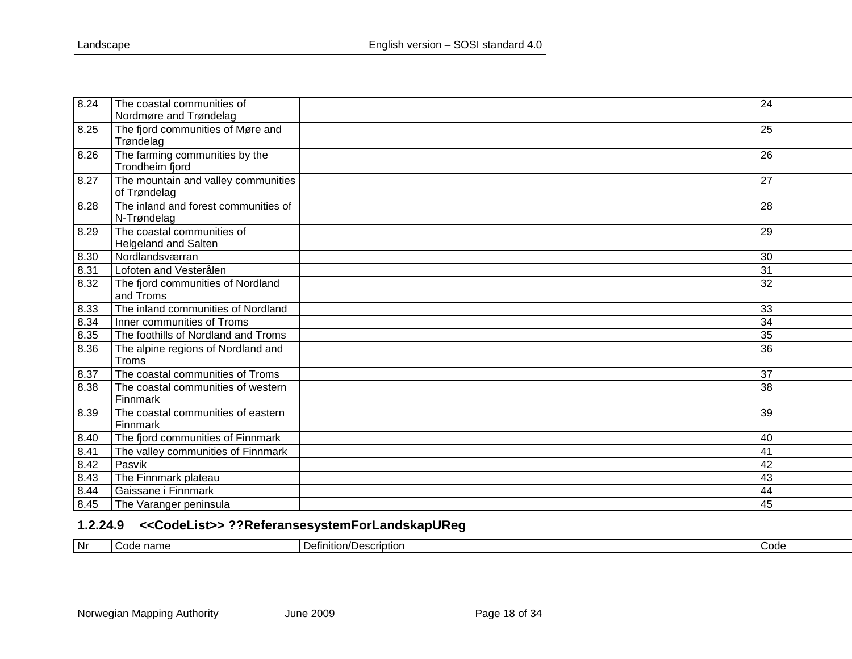| 8.24 | The coastal communities of<br>Nordmøre and Trøndelag | 24 |
|------|------------------------------------------------------|----|
| 8.25 | The fjord communities of Møre and<br>Trøndelag       | 25 |
| 8.26 | The farming communities by the<br>Trondheim fjord    | 26 |
| 8.27 | The mountain and valley communities<br>of Trøndelag  | 27 |
| 8.28 | The inland and forest communities of<br>N-Trøndelag  | 28 |
| 8.29 | The coastal communities of<br>Helgeland and Salten   | 29 |
| 8.30 | Nordlandsværran                                      | 30 |
| 8.31 | Lofoten and Vesterålen                               | 31 |
| 8.32 | The fjord communities of Nordland<br>and Troms       | 32 |
| 8.33 | The inland communities of Nordland                   | 33 |
| 8.34 | Inner communities of Troms                           | 34 |
| 8.35 | The foothills of Nordland and Troms                  | 35 |
| 8.36 | The alpine regions of Nordland and<br>Troms          | 36 |
| 8.37 | The coastal communities of Troms                     | 37 |
| 8.38 | The coastal communities of western<br>Finnmark       | 38 |
| 8.39 | The coastal communities of eastern<br>Finnmark       | 39 |
| 8.40 | The fjord communities of Finnmark                    | 40 |
| 8.41 | The valley communities of Finnmark                   | 41 |
| 8.42 | Pasvik                                               | 42 |
| 8.43 | The Finnmark plateau                                 | 43 |
| 8.44 | Gaissane i Finnmark                                  | 44 |
| 8.45 | The Varanger peninsula                               | 45 |

# **1.2.24.9 <<CodeList>> ??ReferansesystemForLandskapUReg**

<span id="page-17-0"></span>

| ,,,,,,,,,,<br>11 IC |  | l Nr | name<br>$\sim$ $\sim$ | -<br>Description<br>lunıtı∩n/l<br>Dι | Code |
|---------------------|--|------|-----------------------|--------------------------------------|------|
|---------------------|--|------|-----------------------|--------------------------------------|------|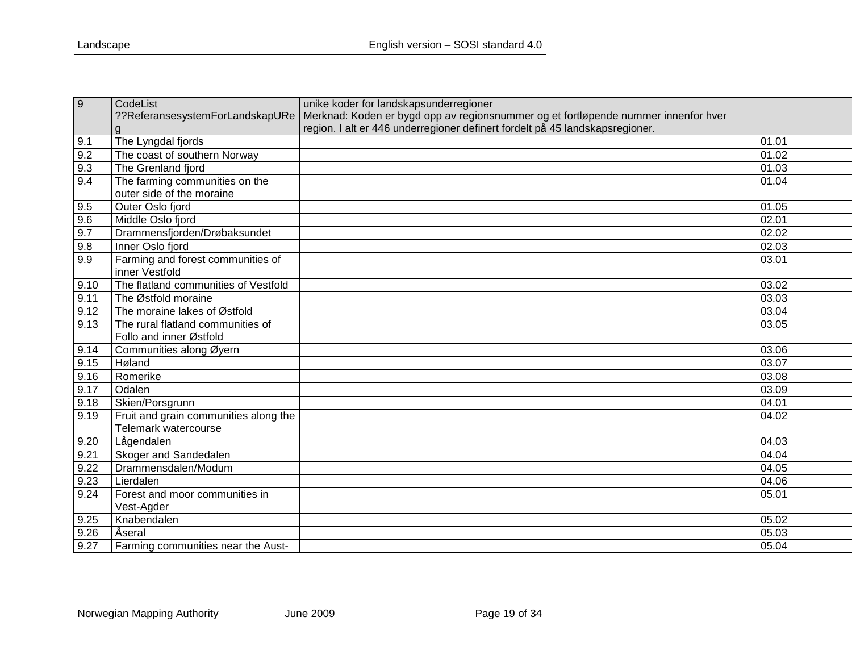| $\overline{9}$ | CodeList                              | unike koder for landskapsunderregioner                                             |       |
|----------------|---------------------------------------|------------------------------------------------------------------------------------|-------|
|                | ??ReferansesystemForLandskapURe       | Merknad: Koden er bygd opp av regionsnummer og et fortløpende nummer innenfor hver |       |
|                | g                                     | region. I alt er 446 underregioner definert fordelt på 45 landskapsregioner.       |       |
| 9.1            | The Lyngdal fjords                    |                                                                                    | 01.01 |
| 9.2            | The coast of southern Norway          |                                                                                    | 01.02 |
| 9.3            | The Grenland fjord                    |                                                                                    | 01.03 |
| 9.4            | The farming communities on the        |                                                                                    | 01.04 |
|                | outer side of the moraine             |                                                                                    |       |
| 9.5            | Outer Oslo fjord                      |                                                                                    | 01.05 |
| 9.6            | Middle Oslo fjord                     |                                                                                    | 02.01 |
| 9.7            | Drammensfjorden/Drøbaksundet          |                                                                                    | 02.02 |
| 9.8            | Inner Oslo fjord                      |                                                                                    | 02.03 |
| 9.9            | Farming and forest communities of     |                                                                                    | 03.01 |
|                | inner Vestfold                        |                                                                                    |       |
| 9.10           | The flatland communities of Vestfold  |                                                                                    | 03.02 |
| 9.11           | The Østfold moraine                   |                                                                                    | 03.03 |
| 9.12           | The moraine lakes of Østfold          |                                                                                    | 03.04 |
| 9.13           | The rural flatland communities of     |                                                                                    | 03.05 |
|                | Follo and inner Østfold               |                                                                                    |       |
| 9.14           | Communities along Øyern               |                                                                                    | 03.06 |
| 9.15           | Høland                                |                                                                                    | 03.07 |
| 9.16           | Romerike                              |                                                                                    | 03.08 |
| 9.17           | Odalen                                |                                                                                    | 03.09 |
| 9.18           | Skien/Porsgrunn                       |                                                                                    | 04.01 |
| 9.19           | Fruit and grain communities along the |                                                                                    | 04.02 |
|                | Telemark watercourse                  |                                                                                    |       |
| 9.20           | Lågendalen                            |                                                                                    | 04.03 |
| 9.21           | Skoger and Sandedalen                 |                                                                                    | 04.04 |
| 9.22           | Drammensdalen/Modum                   |                                                                                    | 04.05 |
| 9.23           | Lierdalen                             |                                                                                    | 04.06 |
| 9.24           | Forest and moor communities in        |                                                                                    | 05.01 |
|                | Vest-Agder                            |                                                                                    |       |
| 9.25           | Knabendalen                           |                                                                                    | 05.02 |
| 9.26           | Aseral                                |                                                                                    | 05.03 |
| 9.27           | Farming communities near the Aust-    |                                                                                    | 05.04 |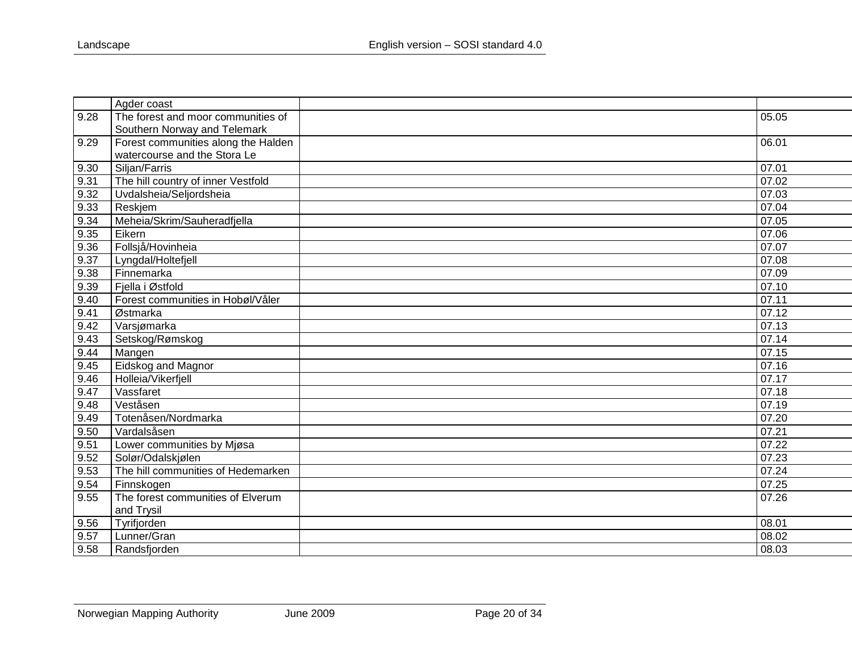|      | Agder coast                         |       |
|------|-------------------------------------|-------|
| 9.28 | The forest and moor communities of  | 05.05 |
|      | Southern Norway and Telemark        |       |
| 9.29 | Forest communities along the Halden | 06.01 |
|      | watercourse and the Stora Le        |       |
| 9.30 | Siljan/Farris                       | 07.01 |
| 9.31 | The hill country of inner Vestfold  | 07.02 |
| 9.32 | Uvdalsheia/Seljordsheia             | 07.03 |
| 9.33 | Reskjem                             | 07.04 |
| 9.34 | Meheia/Skrim/Sauheradfjella         | 07.05 |
| 9.35 | Eikern                              | 07.06 |
| 9.36 | Follsjå/Hovinheia                   | 07.07 |
| 9.37 | Lyngdal/Holtefjell                  | 07.08 |
| 9.38 | Finnemarka                          | 07.09 |
| 9.39 | Fjella i Østfold                    | 07.10 |
| 9.40 | Forest communities in Hobøl/Våler   | 07.11 |
| 9.41 | Østmarka                            | 07.12 |
| 9.42 | Varsjømarka                         | 07.13 |
| 9.43 | Setskog/Rømskog                     | 07.14 |
| 9.44 | Mangen                              | 07.15 |
| 9.45 | Eidskog and Magnor                  | 07.16 |
| 9.46 | Holleia/Vikerfjell                  | 07.17 |
| 9.47 | Vassfaret                           | 07.18 |
| 9.48 | Veståsen                            | 07.19 |
| 9.49 | Totenåsen/Nordmarka                 | 07.20 |
| 9.50 | Vardalsåsen                         | 07.21 |
| 9.51 | Lower communities by Mjøsa          | 07.22 |
| 9.52 | Solør/Odalskjølen                   | 07.23 |
| 9.53 | The hill communities of Hedemarken  | 07.24 |
| 9.54 | Finnskogen                          | 07.25 |
| 9.55 | The forest communities of Elverum   | 07.26 |
|      | and Trysil                          |       |
| 9.56 | Tyrifjorden                         | 08.01 |
| 9.57 | Lunner/Gran                         | 08.02 |
| 9.58 | Randsfjorden                        | 08.03 |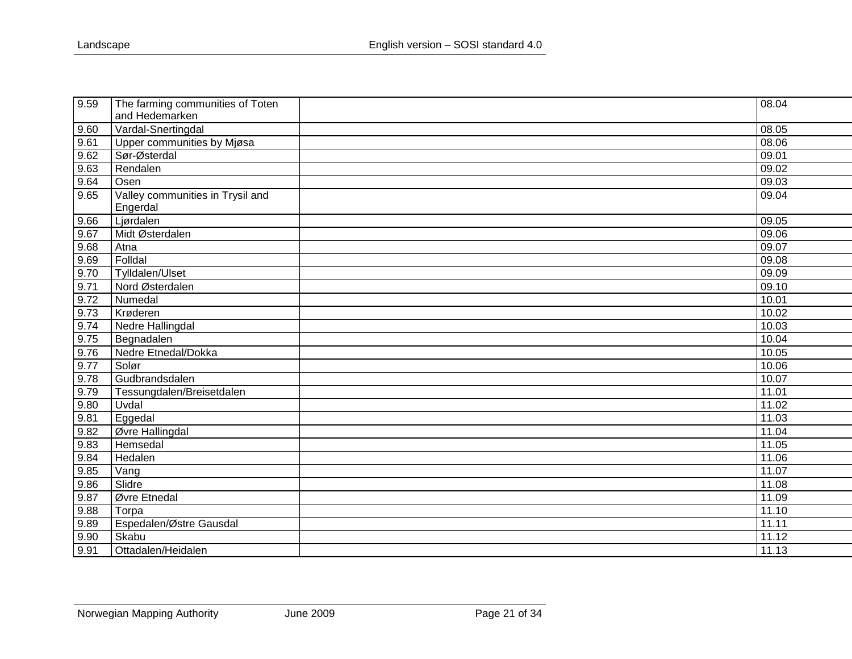| 9.59 | The farming communities of Toten | 08.04 |
|------|----------------------------------|-------|
|      | and Hedemarken                   |       |
| 9.60 | Vardal-Snertingdal               | 08.05 |
| 9.61 | Upper communities by Mjøsa       | 08.06 |
| 9.62 | Sør-Østerdal                     | 09.01 |
| 9.63 | Rendalen                         | 09.02 |
| 9.64 | Osen                             | 09.03 |
| 9.65 | Valley communities in Trysil and | 09.04 |
|      | Engerdal                         |       |
| 9.66 | Ljørdalen                        | 09.05 |
| 9.67 | Midt Østerdalen                  | 09.06 |
| 9.68 | Atna                             | 09.07 |
| 9.69 | Folldal                          | 09.08 |
| 9.70 | Tylldalen/Ulset                  | 09.09 |
| 9.71 | Nord Østerdalen                  | 09.10 |
| 9.72 | Numedal                          | 10.01 |
| 9.73 | Krøderen                         | 10.02 |
| 9.74 | Nedre Hallingdal                 | 10.03 |
| 9.75 | Begnadalen                       | 10.04 |
| 9.76 | Nedre Etnedal/Dokka              | 10.05 |
| 9.77 | Solør                            | 10.06 |
| 9.78 | Gudbrandsdalen                   | 10.07 |
| 9.79 | Tessungdalen/Breisetdalen        | 11.01 |
| 9.80 | Uvdal                            | 11.02 |
| 9.81 | Eggedal                          | 11.03 |
| 9.82 | Øvre Hallingdal                  | 11.04 |
| 9.83 | Hemsedal                         | 11.05 |
| 9.84 | Hedalen                          | 11.06 |
| 9.85 | Vang                             | 11.07 |
| 9.86 | Slidre                           | 11.08 |
| 9.87 | Øvre Etnedal                     | 11.09 |
| 9.88 | Torpa                            | 11.10 |
| 9.89 | Espedalen/Østre Gausdal          | 11.11 |
| 9.90 | Skabu                            | 11.12 |
| 9.91 | Ottadalen/Heidalen               | 11.13 |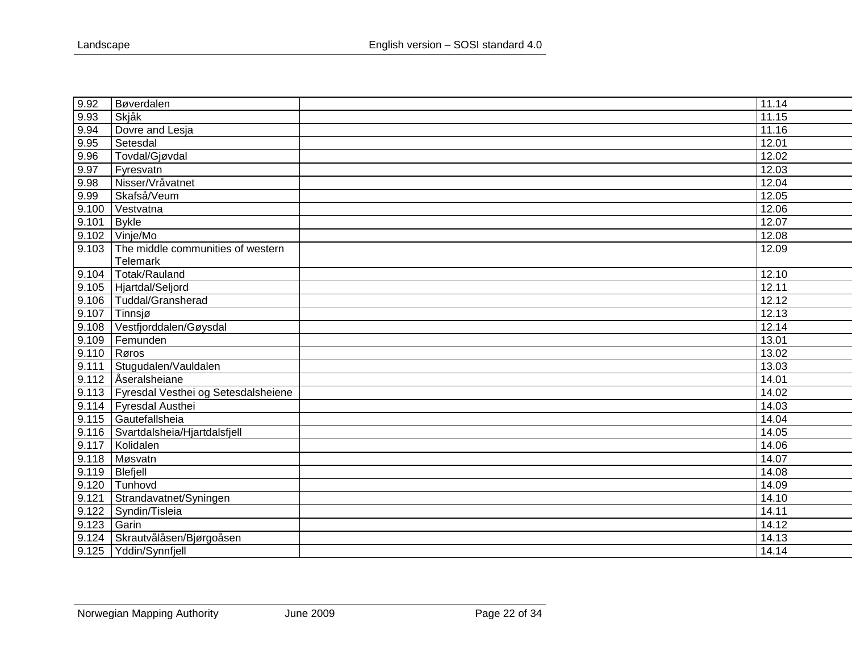| 9.92  | Bøverdalen                                | 11.14 |
|-------|-------------------------------------------|-------|
| 9.93  | Skjåk                                     | 11.15 |
| 9.94  | Dovre and Lesja                           | 11.16 |
| 9.95  | Setesdal                                  | 12.01 |
| 9.96  | Tovdal/Gjøvdal                            | 12.02 |
| 9.97  | Fyresvatn                                 | 12.03 |
| 9.98  | Nisser/Vråvatnet                          | 12.04 |
| 9.99  | Skafså/Veum                               | 12.05 |
| 9.100 | Vestvatna                                 | 12.06 |
| 9.101 | <b>Bykle</b>                              | 12.07 |
| 9.102 | Vinje/Mo                                  | 12.08 |
| 9.103 | The middle communities of western         | 12.09 |
|       | Telemark                                  |       |
| 9.104 | Totak/Rauland                             | 12.10 |
| 9.105 | Hjartdal/Seljord                          | 12.11 |
| 9.106 | Tuddal/Gransherad                         | 12.12 |
| 9.107 | Tinnsjø                                   | 12.13 |
| 9.108 | Vestfjorddalen/Gøysdal                    | 12.14 |
| 9.109 | Femunden                                  | 13.01 |
| 9.110 | Røros                                     | 13.02 |
| 9.111 | Stugudalen/Vauldalen                      | 13.03 |
| 9.112 | <b>Aseralsheiane</b>                      | 14.01 |
|       | 9.113 Fyresdal Vesthei og Setesdalsheiene | 14.02 |
|       | 9.114 Fyresdal Austhei                    | 14.03 |
| 9.115 | Gautefallsheia                            | 14.04 |
| 9.116 | Svartdalsheia/Hjartdalsfjell              | 14.05 |
| 9.117 | Kolidalen                                 | 14.06 |
| 9.118 | Møsvatn                                   | 14.07 |
| 9.119 | Blefjell                                  | 14.08 |
| 9.120 | Tunhovd                                   | 14.09 |
| 9.121 | Strandavatnet/Syningen                    | 14.10 |
| 9.122 | Syndin/Tisleia                            | 14.11 |
| 9.123 | Garin                                     | 14.12 |
| 9.124 | Skrautvålåsen/Bjørgoåsen                  | 14.13 |
| 9.125 | Yddin/Synnfjell                           | 14.14 |
|       |                                           |       |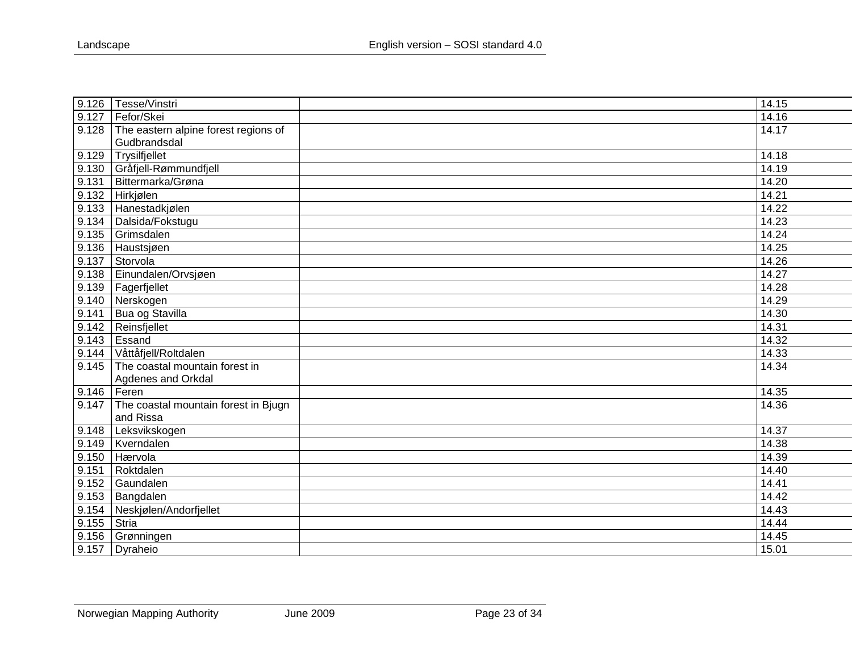| 9.126 | Tesse/Vinstri                        | 14.15 |
|-------|--------------------------------------|-------|
| 9.127 | Fefor/Skei                           | 14.16 |
| 9.128 | The eastern alpine forest regions of | 14.17 |
|       | Gudbrandsdal                         |       |
| 9.129 | Trysilfjellet                        | 14.18 |
| 9.130 | Gråfjell-Rømmundfjell                | 14.19 |
| 9.131 | Bittermarka/Grøna                    | 14.20 |
| 9.132 | Hirkjølen                            | 14.21 |
| 9.133 | Hanestadkjølen                       | 14.22 |
| 9.134 | Dalsida/Fokstugu                     | 14.23 |
| 9.135 | Grimsdalen                           | 14.24 |
| 9.136 | Haustsjøen                           | 14.25 |
| 9.137 | Storvola                             | 14.26 |
| 9.138 | Einundalen/Orvsjøen                  | 14.27 |
| 9.139 | Fagerfjellet                         | 14.28 |
| 9.140 | Nerskogen                            | 14.29 |
| 9.141 | Bua og Stavilla                      | 14.30 |
| 9.142 | Reinsfjellet                         | 14.31 |
| 9.143 | Essand                               | 14.32 |
| 9.144 | Våttåfjell/Roltdalen                 | 14.33 |
| 9.145 | The coastal mountain forest in       | 14.34 |
|       | Agdenes and Orkdal                   |       |
| 9.146 | Feren                                | 14.35 |
| 9.147 | The coastal mountain forest in Bjugn | 14.36 |
|       | and Rissa                            |       |
| 9.148 | Leksvikskogen                        | 14.37 |
| 9.149 | Kverndalen                           | 14.38 |
| 9.150 | Hærvola                              | 14.39 |
| 9.151 | Roktdalen                            | 14.40 |
| 9.152 | Gaundalen                            | 14.41 |
| 9.153 | Bangdalen                            | 14.42 |
| 9.154 | Neskjølen/Andorfjellet               | 14.43 |
| 9.155 | Stria                                | 14.44 |
| 9.156 | Grønningen                           | 14.45 |
| 9.157 | Dyraheio                             | 15.01 |
|       |                                      |       |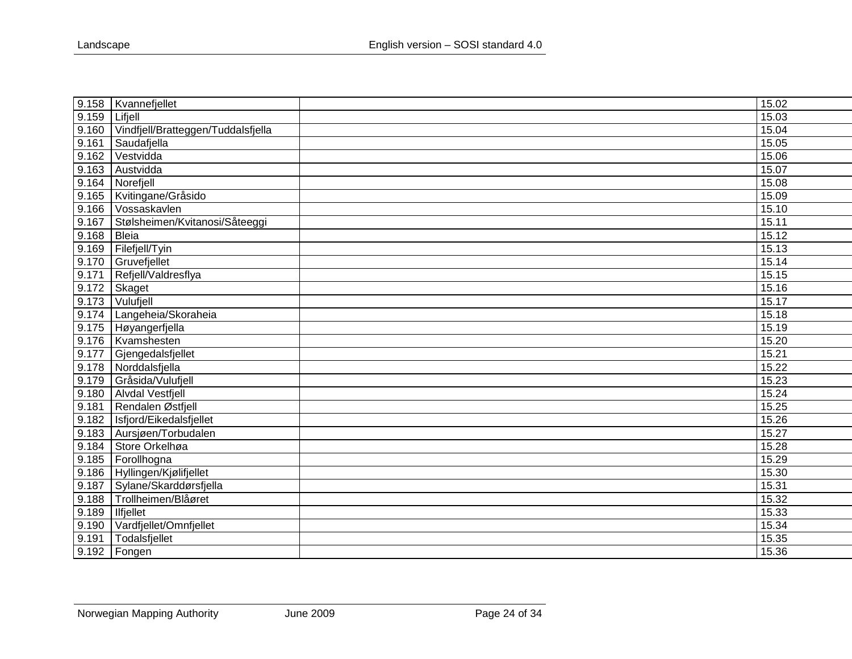| 9.158 | Kvannefjellet                      | 15.02 |
|-------|------------------------------------|-------|
| 9.159 | Lifjell                            | 15.03 |
| 9.160 | Vindfjell/Bratteggen/Tuddalsfjella | 15.04 |
| 9.161 | Saudafjella                        | 15.05 |
| 9.162 | Vestvidda                          | 15.06 |
| 9.163 | Austvidda                          | 15.07 |
| 9.164 | Norefjell                          | 15.08 |
| 9.165 | Kvitingane/Gråsido                 | 15.09 |
| 9.166 | Vossaskavlen                       | 15.10 |
| 9.167 | Stølsheimen/Kvitanosi/Såteeggi     | 15.11 |
| 9.168 | Bleia                              | 15.12 |
| 9.169 | Filefjell/Tyin                     | 15.13 |
| 9.170 | Gruvefjellet                       | 15.14 |
| 9.171 | Refjell/Valdresflya                | 15.15 |
| 9.172 | Skaget                             | 15.16 |
| 9.173 | Vulufjell                          | 15.17 |
| 9.174 | Langeheia/Skoraheia                | 15.18 |
| 9.175 | Høyangerfjella                     | 15.19 |
| 9.176 | Kvamshesten                        | 15.20 |
| 9.177 | Gjengedalsfjellet                  | 15.21 |
| 9.178 | Norddalsfjella                     | 15.22 |
| 9.179 | Gråsida/Vulufjell                  | 15.23 |
| 9.180 | <b>Alvdal Vestfjell</b>            | 15.24 |
| 9.181 | Rendalen Østfjell                  | 15.25 |
| 9.182 | Isfjord/Eikedalsfjellet            | 15.26 |
| 9.183 | Aursjøen/Torbudalen                | 15.27 |
| 9.184 | Store Orkelhøa                     | 15.28 |
| 9.185 | Forollhogna                        | 15.29 |
| 9.186 | Hyllingen/Kjølifjellet             | 15.30 |
| 9.187 | Sylane/Skarddørsfjella             | 15.31 |
| 9.188 | Trollheimen/Blåøret                | 15.32 |
| 9.189 | <b>Ilfjellet</b>                   | 15.33 |
| 9.190 | Vardfjellet/Omnfjellet             | 15.34 |
| 9.191 | Todalsfjellet                      | 15.35 |
| 9.192 | Fongen                             | 15.36 |
|       |                                    |       |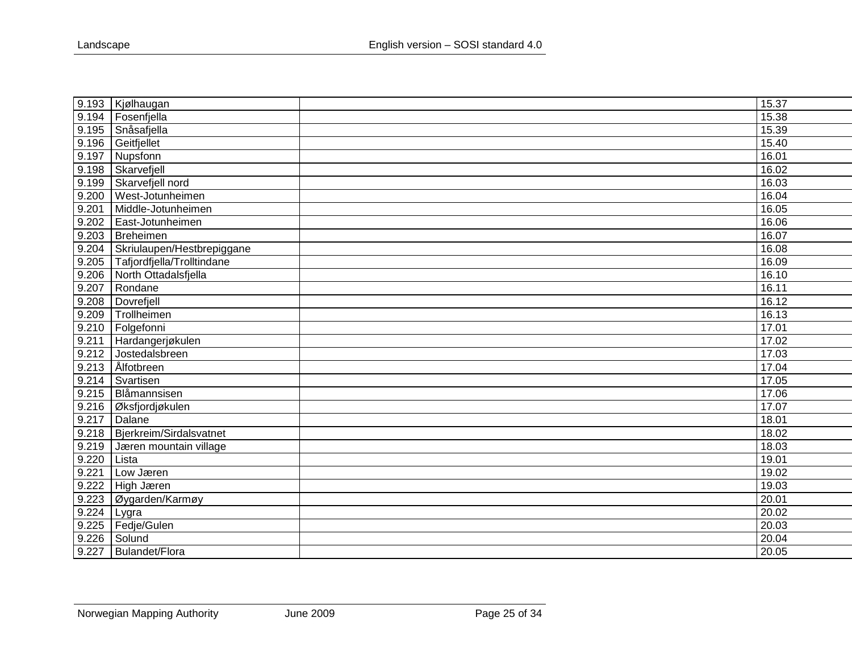|       | 9.193   Kjølhaugan         | 15.37 |
|-------|----------------------------|-------|
| 9.194 | Fosenfjella                | 15.38 |
| 9.195 | Snåsafjella                | 15.39 |
| 9.196 | Geitfjellet                | 15.40 |
| 9.197 | Nupsfonn                   | 16.01 |
| 9.198 | Skarvefjell                | 16.02 |
| 9.199 | Skarvefjell nord           | 16.03 |
| 9.200 | West-Jotunheimen           | 16.04 |
| 9.201 | Middle-Jotunheimen         | 16.05 |
| 9.202 | East-Jotunheimen           | 16.06 |
| 9.203 | Breheimen                  | 16.07 |
| 9.204 | Skriulaupen/Hestbrepiggane | 16.08 |
| 9.205 | Tafjordfjella/Trolltindane | 16.09 |
| 9.206 | North Ottadalsfjella       | 16.10 |
| 9.207 | Rondane                    | 16.11 |
| 9.208 | Dovrefjell                 | 16.12 |
| 9.209 | Trollheimen                | 16.13 |
| 9.210 | Folgefonni                 | 17.01 |
| 9.211 | Hardangerjøkulen           | 17.02 |
| 9.212 | Jostedalsbreen             | 17.03 |
| 9.213 | Ålfotbreen                 | 17.04 |
| 9.214 | Svartisen                  | 17.05 |
| 9.215 | Blåmannsisen               | 17.06 |
| 9.216 | Øksfjordjøkulen            | 17.07 |
| 9.217 | Dalane                     | 18.01 |
| 9.218 | Bjerkreim/Sirdalsvatnet    | 18.02 |
| 9.219 | Jæren mountain village     | 18.03 |
| 9.220 | Lista                      | 19.01 |
| 9.221 | Low Jæren                  | 19.02 |
| 9.222 | High Jæren                 | 19.03 |
| 9.223 | Øygarden/Karmøy            | 20.01 |
| 9.224 | Lygra                      | 20.02 |
| 9.225 | Fedje/Gulen                | 20.03 |
| 9.226 | Solund                     | 20.04 |
| 9.227 | Bulandet/Flora             | 20.05 |
|       |                            |       |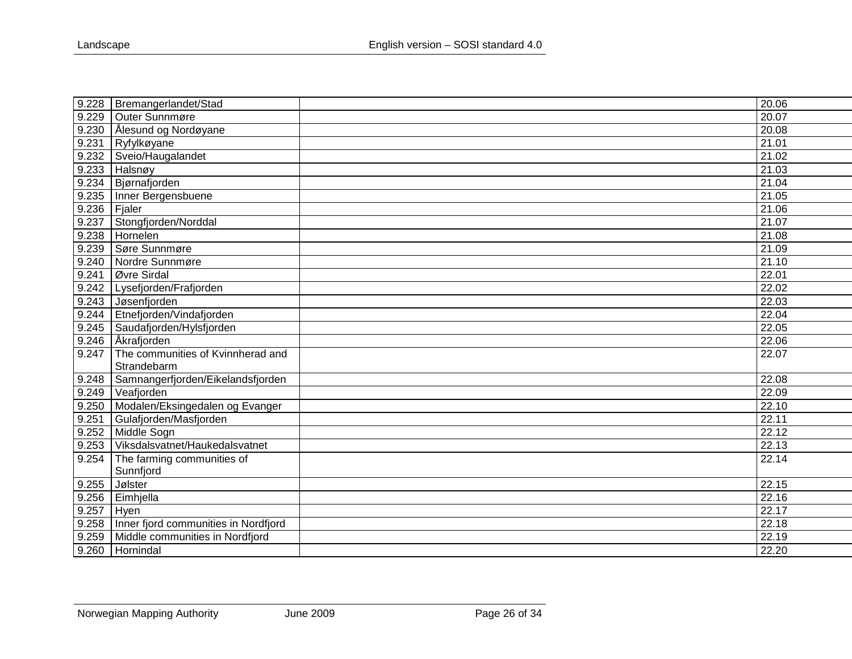| 9.228 | Bremangerlandet/Stad                 | 20.06 |
|-------|--------------------------------------|-------|
| 9.229 | <b>Outer Sunnmøre</b>                | 20.07 |
| 9.230 | Ålesund og Nordøyane                 | 20.08 |
| 9.231 | Ryfylkøyane                          | 21.01 |
| 9.232 | Sveio/Haugalandet                    | 21.02 |
| 9.233 | Halsnøy                              | 21.03 |
| 9.234 | Bjørnafjorden                        | 21.04 |
| 9.235 | Inner Bergensbuene                   | 21.05 |
| 9.236 | Fjaler                               | 21.06 |
| 9.237 | Stongfjorden/Norddal                 | 21.07 |
| 9.238 | Hornelen                             | 21.08 |
| 9.239 | Søre Sunnmøre                        | 21.09 |
| 9.240 | Nordre Sunnmøre                      | 21.10 |
| 9.241 | Øvre Sirdal                          | 22.01 |
| 9.242 | Lysefjorden/Frafjorden               | 22.02 |
| 9.243 | Jøsenfjorden                         | 22.03 |
| 9.244 | Etnefjorden/Vindafjorden             | 22.04 |
| 9.245 | Saudafjorden/Hylsfjorden             | 22.05 |
| 9.246 | Åkrafjorden                          | 22.06 |
| 9.247 | The communities of Kvinnherad and    | 22.07 |
|       | Strandebarm                          |       |
| 9.248 | Samnangerfjorden/Eikelandsfjorden    | 22.08 |
| 9.249 | Veafjorden                           | 22.09 |
| 9.250 | Modalen/Eksingedalen og Evanger      | 22.10 |
| 9.251 | Gulafjorden/Masfjorden               | 22.11 |
| 9.252 | Middle Sogn                          | 22.12 |
| 9.253 | Viksdalsvatnet/Haukedalsvatnet       | 22.13 |
| 9.254 | The farming communities of           | 22.14 |
|       | Sunnfjord                            |       |
| 9.255 | Jølster                              | 22.15 |
| 9.256 | Eimhjella                            | 22.16 |
| 9.257 | Hyen                                 | 22.17 |
| 9.258 | Inner fjord communities in Nordfjord | 22.18 |
| 9.259 | Middle communities in Nordfjord      | 22.19 |
| 9.260 | Hornindal                            | 22.20 |
|       |                                      |       |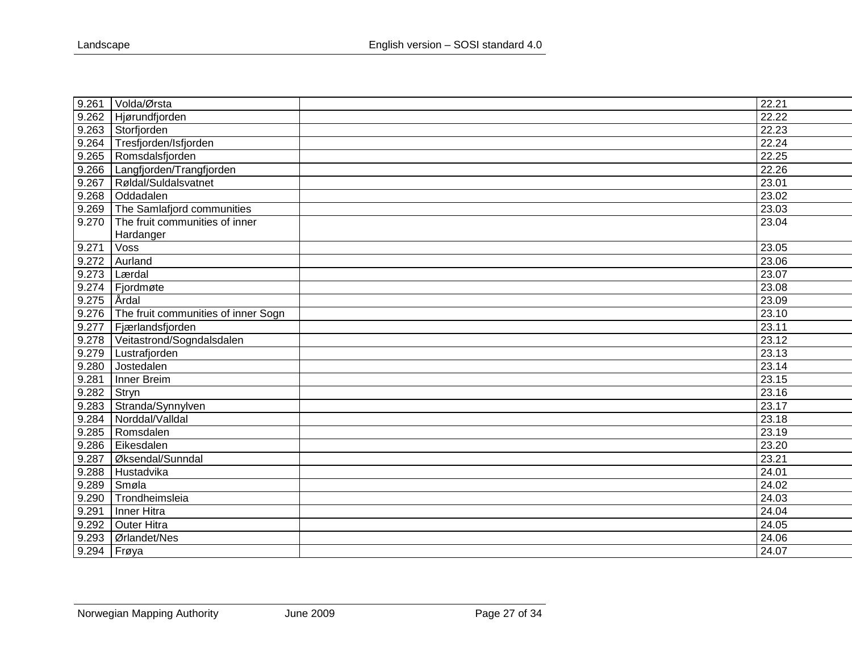| 9.261 | Volda/Ørsta                         | 22.21 |
|-------|-------------------------------------|-------|
| 9.262 | Hjørundfjorden                      | 22.22 |
| 9.263 | Storfjorden                         | 22.23 |
| 9.264 | Tresfjorden/Isfjorden               | 22.24 |
| 9.265 | Romsdalsfjorden                     | 22.25 |
| 9.266 | Langfjorden/Trangfjorden            | 22.26 |
| 9.267 | Røldal/Suldalsvatnet                | 23.01 |
| 9.268 | Oddadalen                           | 23.02 |
| 9.269 | The Samlafjord communities          | 23.03 |
| 9.270 | The fruit communities of inner      | 23.04 |
|       | Hardanger                           |       |
| 9.271 | Voss                                | 23.05 |
| 9.272 | Aurland                             | 23.06 |
| 9.273 | Lærdal                              | 23.07 |
| 9.274 | Fjordmøte                           | 23.08 |
| 9.275 | <b>Ardal</b>                        | 23.09 |
| 9.276 | The fruit communities of inner Sogn | 23.10 |
| 9.277 | Fjærlandsfjorden                    | 23.11 |
| 9.278 | Veitastrond/Sogndalsdalen           | 23.12 |
| 9.279 | Lustrafjorden                       | 23.13 |
| 9.280 | Jostedalen                          | 23.14 |
| 9.281 | Inner Breim                         | 23.15 |
| 9.282 | Stryn                               | 23.16 |
| 9.283 | Stranda/Synnylven                   | 23.17 |
| 9.284 | Norddal/Valldal                     | 23.18 |
| 9.285 | Romsdalen                           | 23.19 |
| 9.286 | Eikesdalen                          | 23.20 |
| 9.287 | Øksendal/Sunndal                    | 23.21 |
| 9.288 | Hustadvika                          | 24.01 |
| 9.289 | Smøa                                | 24.02 |
| 9.290 | Trondheimsleia                      | 24.03 |
| 9.291 | Inner Hitra                         | 24.04 |
| 9.292 | <b>Outer Hitra</b>                  | 24.05 |
| 9.293 | Ørlandet/Nes                        | 24.06 |
| 9.294 | Frøya                               | 24.07 |
|       |                                     |       |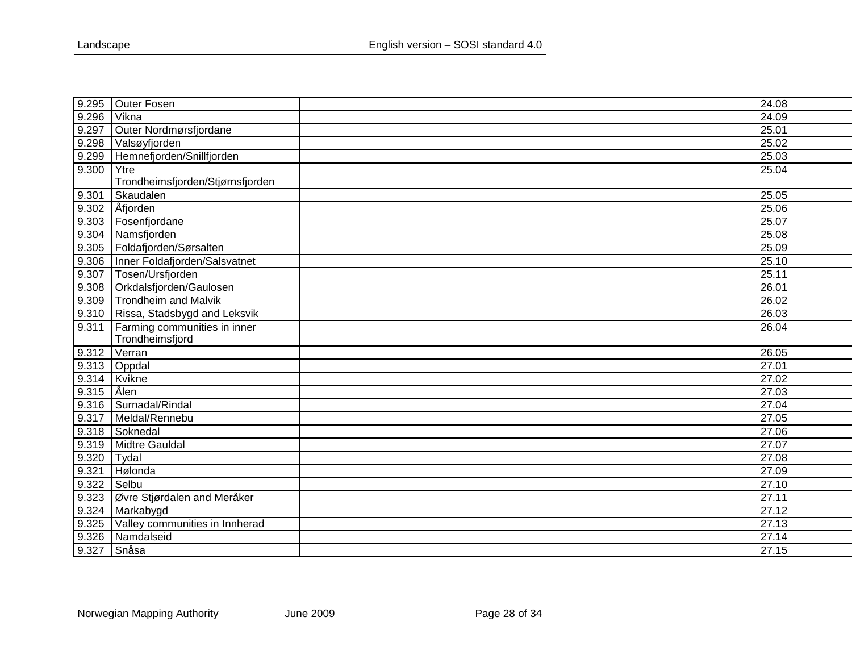| 9.295 | Outer Fosen                      | 24.08 |
|-------|----------------------------------|-------|
| 9.296 | Vikna                            | 24.09 |
| 9.297 | Outer Nordmørsfjordane           | 25.01 |
| 9.298 | Valsøyfjorden                    | 25.02 |
| 9.299 | Hemnefjorden/Snillfjorden        | 25.03 |
| 9.300 | Ytre                             | 25.04 |
|       | Trondheimsfjorden/Stjørnsfjorden |       |
| 9.301 | Skaudalen                        | 25.05 |
| 9.302 | Åfjorden                         | 25.06 |
| 9.303 | Fosenfjordane                    | 25.07 |
| 9.304 | Namsfjorden                      | 25.08 |
| 9.305 | Foldafjorden/Sørsalten           | 25.09 |
| 9.306 | Inner Foldafjorden/Salsvatnet    | 25.10 |
| 9.307 | Tosen/Ursfjorden                 | 25.11 |
| 9.308 | Orkdalsfjorden/Gaulosen          | 26.01 |
| 9.309 | <b>Trondheim and Malvik</b>      | 26.02 |
| 9.310 | Rissa, Stadsbygd and Leksvik     | 26.03 |
| 9.311 | Farming communities in inner     | 26.04 |
|       | Trondheimsfjord                  |       |
| 9.312 | Verran                           | 26.05 |
| 9.313 | Oppdal                           | 27.01 |
| 9.314 | Kvikne                           | 27.02 |
| 9.315 | <b>Alen</b>                      | 27.03 |
| 9.316 | Surnadal/Rindal                  | 27.04 |
| 9.317 | Meldal/Rennebu                   | 27.05 |
| 9.318 | Soknedal                         | 27.06 |
| 9.319 | Midtre Gauldal                   | 27.07 |
| 9.320 | Tydal                            | 27.08 |
| 9.321 | Hølonda                          | 27.09 |
| 9.322 | Selbu                            | 27.10 |
| 9.323 | Øvre Stjørdalen and Meråker      | 27.11 |
| 9.324 | Markabygd                        | 27.12 |
| 9.325 | Valley communities in Innherad   | 27.13 |
| 9.326 | Namdalseid                       | 27.14 |
| 9.327 | Snåsa                            | 27.15 |
|       |                                  |       |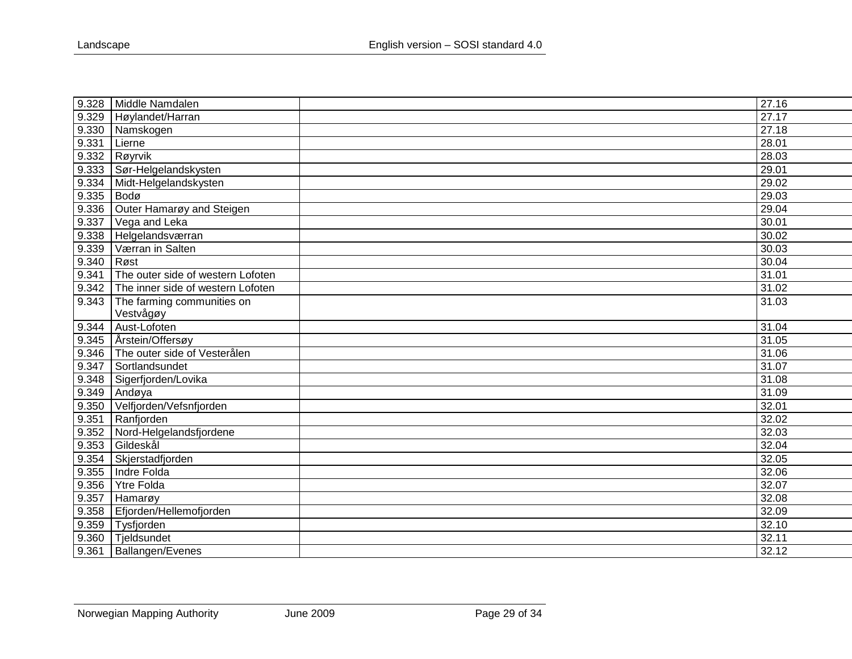| 9.328 | Middle Namdalen                   | 27.16 |
|-------|-----------------------------------|-------|
| 9.329 | Høylandet/Harran                  | 27.17 |
| 9.330 | Namskogen                         | 27.18 |
| 9.331 | Lierne                            | 28.01 |
| 9.332 | Røyrvik                           | 28.03 |
| 9.333 | Sør-Helgelandskysten              | 29.01 |
| 9.334 | Midt-Helgelandskysten             | 29.02 |
| 9.335 | Bodø                              | 29.03 |
| 9.336 | Outer Hamarøy and Steigen         | 29.04 |
| 9.337 | Vega and Leka                     | 30.01 |
| 9.338 | Helgelandsværran                  | 30.02 |
| 9.339 | Værran in Salten                  | 30.03 |
| 9.340 | Røst                              | 30.04 |
| 9.341 | The outer side of western Lofoten | 31.01 |
| 9.342 | The inner side of western Lofoten | 31.02 |
| 9.343 | The farming communities on        | 31.03 |
|       | Vestvågøy                         |       |
| 9.344 | Aust-Lofoten                      | 31.04 |
| 9.345 | Årstein/Offersøy                  | 31.05 |
| 9.346 | The outer side of Vesterålen      | 31.06 |
| 9.347 | Sortlandsundet                    | 31.07 |
| 9.348 | Sigerfjorden/Lovika               | 31.08 |
| 9.349 | Andøya                            | 31.09 |
| 9.350 | Velfjorden/Vefsnfjorden           | 32.01 |
| 9.351 | Ranfjorden                        | 32.02 |
| 9.352 | Nord-Helgelandsfjordene           | 32.03 |
| 9.353 | Gildeskål                         | 32.04 |
| 9.354 | Skjerstadfjorden                  | 32.05 |
| 9.355 | Indre Folda                       | 32.06 |
| 9.356 | Ytre Folda                        | 32.07 |
| 9.357 | Hamarøy                           | 32.08 |
| 9.358 | Efjorden/Hellemofjorden           | 32.09 |
| 9.359 | Tysfjorden                        | 32.10 |
| 9.360 | Tjeldsundet                       | 32.11 |
| 9.361 | Ballangen/Evenes                  | 32.12 |
|       |                                   |       |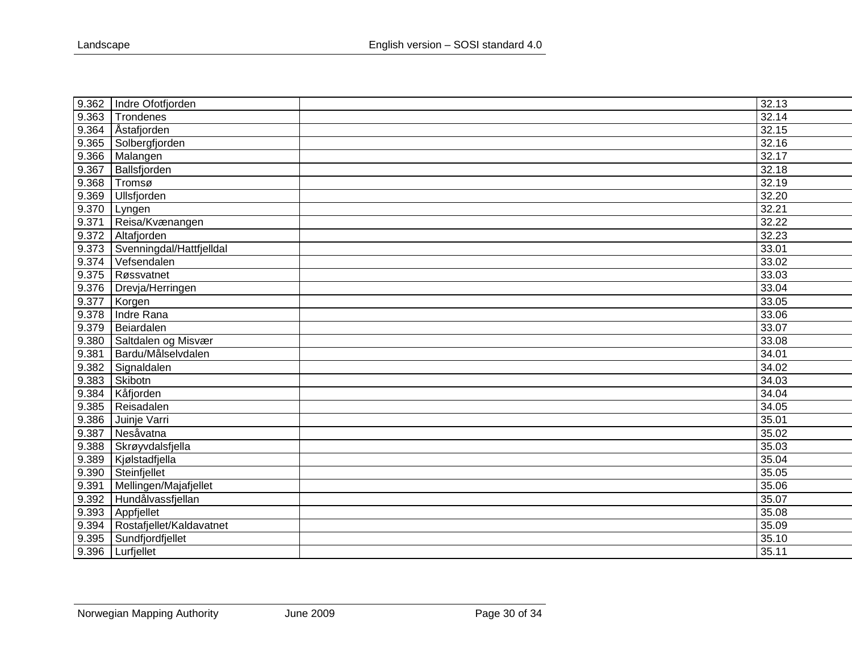| 9.362 | Indre Ofotfjorden        | 32.13 |
|-------|--------------------------|-------|
| 9.363 | Trondenes                | 32.14 |
| 9.364 | Åstafjorden              | 32.15 |
| 9.365 | Solbergfjorden           | 32.16 |
| 9.366 | Malangen                 | 32.17 |
| 9.367 | Ballsfjorden             | 32.18 |
| 9.368 | Tromsø                   | 32.19 |
| 9.369 | Ullsfjorden              | 32.20 |
| 9.370 | Lyngen                   | 32.21 |
| 9.371 | Reisa/Kvænangen          | 32.22 |
| 9.372 | Altafjorden              | 32.23 |
| 9.373 | Svenningdal/Hattfjelldal | 33.01 |
| 9.374 | Vefsendalen              | 33.02 |
| 9.375 | Røssvatnet               | 33.03 |
| 9.376 | Drevja/Herringen         | 33.04 |
| 9.377 | Korgen                   | 33.05 |
| 9.378 | Indre Rana               | 33.06 |
| 9.379 | Beiardalen               | 33.07 |
| 9.380 | Saltdalen og Misvær      | 33.08 |
| 9.381 | Bardu/Målselvdalen       | 34.01 |
| 9.382 | Signaldalen              | 34.02 |
| 9.383 | Skibotn                  | 34.03 |
| 9.384 | Kåfjorden                | 34.04 |
| 9.385 | Reisadalen               | 34.05 |
| 9.386 | Juinje Varri             | 35.01 |
| 9.387 | Nesåvatna                | 35.02 |
| 9.388 | Skrøyvdalsfjella         | 35.03 |
| 9.389 | Kjølstadfjella           | 35.04 |
| 9.390 | Steinfjellet             | 35.05 |
| 9.391 | Mellingen/Majafjellet    | 35.06 |
| 9.392 | Hundålvassfjellan        | 35.07 |
| 9.393 | Appfjellet               | 35.08 |
| 9.394 | Rostafjellet/Kaldavatnet | 35.09 |
| 9.395 | Sundfjordfjellet         | 35.10 |
| 9.396 | Lurfjellet               | 35.11 |
|       |                          |       |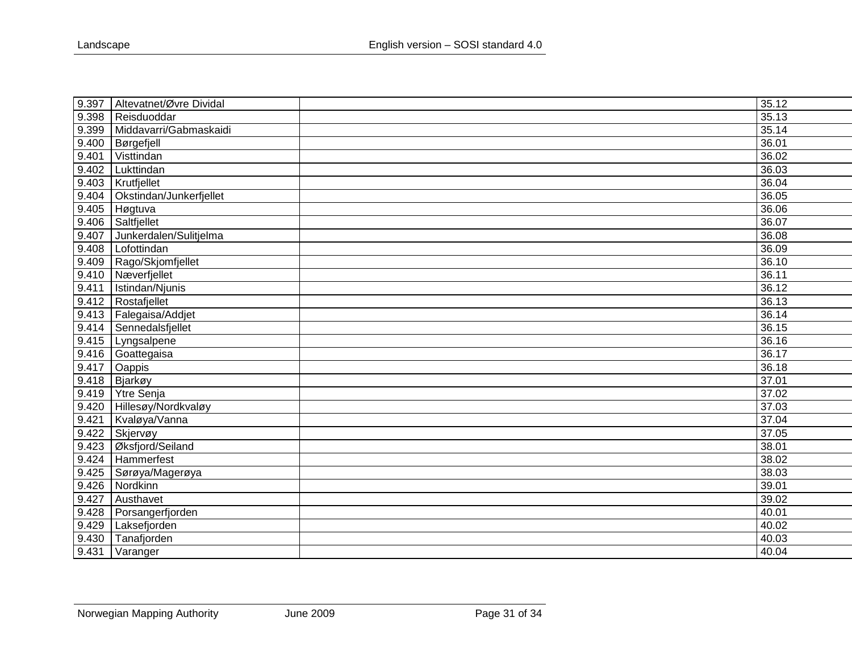| 9.397 | Altevatnet/Øvre Dividal | 35.12 |
|-------|-------------------------|-------|
| 9.398 | Reisduoddar             | 35.13 |
| 9.399 | Middavarri/Gabmaskaidi  | 35.14 |
| 9.400 | Børgefjell              | 36.01 |
| 9.401 | Visttindan              | 36.02 |
| 9.402 | Lukttindan              | 36.03 |
| 9.403 | Krutfjellet             | 36.04 |
| 9.404 | Okstindan/Junkerfjellet | 36.05 |
| 9.405 | Høgtuva                 | 36.06 |
| 9.406 | Saltfjellet             | 36.07 |
| 9.407 | Junkerdalen/Sulitjelma  | 36.08 |
| 9.408 | Lofottindan             | 36.09 |
| 9.409 | Rago/Skjomfjellet       | 36.10 |
| 9.410 | Næverfjellet            | 36.11 |
| 9.411 | Istindan/Njunis         | 36.12 |
| 9.412 | Rostafjellet            | 36.13 |
| 9.413 | Falegaisa/Addjet        | 36.14 |
| 9.414 | Sennedalsfjellet        | 36.15 |
| 9.415 | Lyngsalpene             | 36.16 |
| 9.416 | Goattegaisa             | 36.17 |
| 9.417 | Oappis                  | 36.18 |
| 9.418 | Bjarkøy                 | 37.01 |
| 9.419 | Ytre Senja              | 37.02 |
| 9.420 | Hillesøy/Nordkvaløy     | 37.03 |
| 9.421 | Kvaløya/Vanna           | 37.04 |
| 9.422 | Skjervøy                | 37.05 |
| 9.423 | Øksfjord/Seiland        | 38.01 |
| 9.424 | Hammerfest              | 38.02 |
| 9.425 | Sørøya/Magerøya         | 38.03 |
| 9.426 | Nordkinn                | 39.01 |
| 9.427 | Austhavet               | 39.02 |
| 9.428 | Porsangerfjorden        | 40.01 |
| 9.429 | Laksefjorden            | 40.02 |
| 9.430 | Tanafjorden             | 40.03 |
| 9.431 | Varanger                | 40.04 |
|       |                         |       |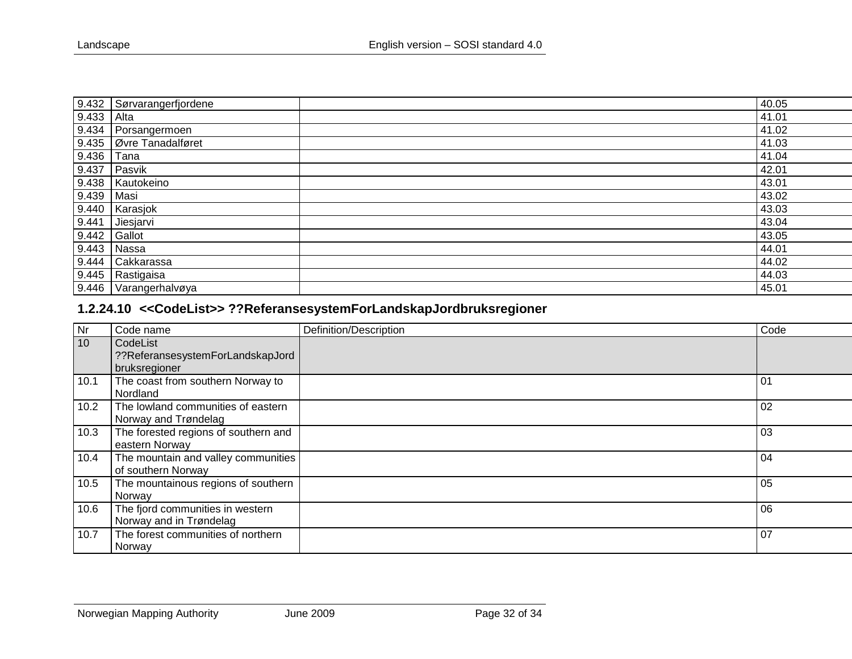| 9.432 | Sørvarangerfjordene       | 40.05 |
|-------|---------------------------|-------|
| 9.433 | Alta                      | 41.01 |
| 9.434 | Porsangermoen             | 41.02 |
|       | 9.435   Øvre Tanadalføret | 41.03 |
| 9.436 | Tana                      | 41.04 |
| 9.437 | Pasvik                    | 42.01 |
| 9.438 | Kautokeino                | 43.01 |
| 9.439 | Masi                      | 43.02 |
| 9.440 | Karasjok                  | 43.03 |
| 9.441 | Jiesjarvi                 | 43.04 |
| 9.442 | Gallot                    | 43.05 |
| 9.443 | Nassa                     | 44.01 |
| 9.444 | Cakkarassa                | 44.02 |
| 9.445 | Rastigaisa                | 44.03 |
| 9.446 | Varangerhalvøya           | 45.01 |

# **1.2.24.10 <<CodeList>> ??ReferansesystemForLandskapJordbruksregioner**

<span id="page-31-0"></span>

| Nr              | Code name                                                     | Definition/Description | Code |
|-----------------|---------------------------------------------------------------|------------------------|------|
| 10 <sup>°</sup> | CodeList<br>??ReferansesystemForLandskapJord<br>bruksregioner |                        |      |
| 10.1            | The coast from southern Norway to<br>Nordland                 |                        | 01   |
| 10.2            | The lowland communities of eastern<br>Norway and Trøndelag    |                        | 02   |
| 10.3            | The forested regions of southern and<br>eastern Norway        |                        | 03   |
| 10.4            | The mountain and valley communities<br>of southern Norway     |                        | 04   |
| 10.5            | The mountainous regions of southern<br>Norway                 |                        | 05   |
| 10.6            | The fjord communities in western<br>Norway and in Trøndelag   |                        | 06   |
| 10.7            | The forest communities of northern<br>Norway                  |                        | 07   |